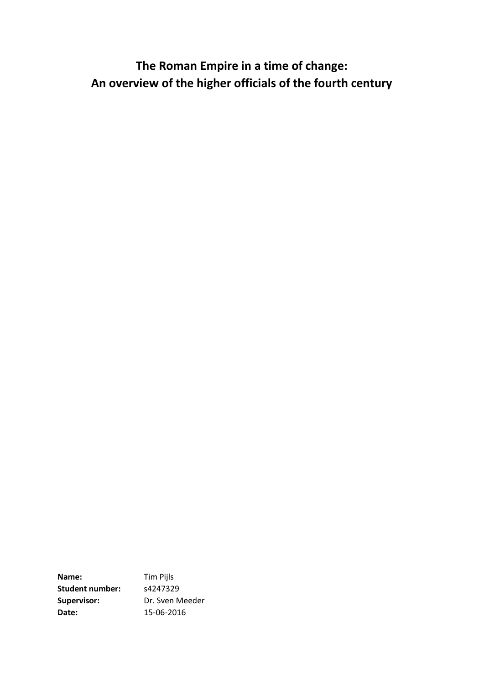**The Roman Empire in a time of change: An overview of the higher officials of the fourth century**

**Name:** Tim Pijls **Student number:** s4247329 **Supervisor:** Dr. Sven Meeder **Date:** 15-06-2016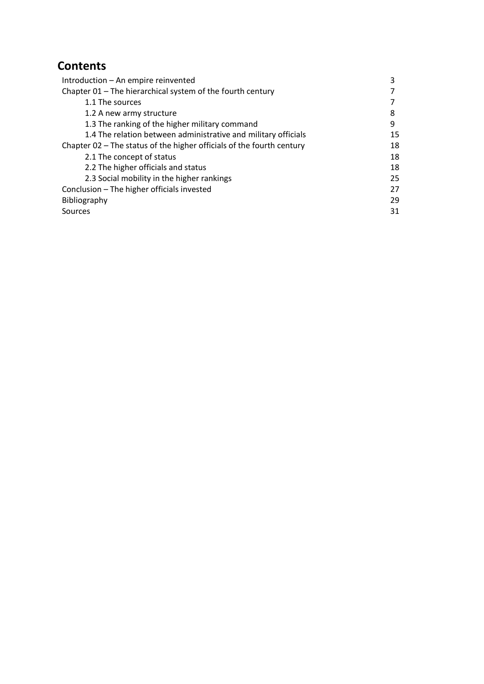# **Contents**

| Introduction - An empire reinvented                                   | 3  |
|-----------------------------------------------------------------------|----|
| Chapter 01 - The hierarchical system of the fourth century            |    |
| 1.1 The sources                                                       |    |
| 1.2 A new army structure                                              | 8  |
| 1.3 The ranking of the higher military command                        | 9  |
| 1.4 The relation between administrative and military officials        | 15 |
| Chapter 02 – The status of the higher officials of the fourth century | 18 |
| 2.1 The concept of status                                             | 18 |
| 2.2 The higher officials and status                                   | 18 |
| 2.3 Social mobility in the higher rankings                            | 25 |
| Conclusion - The higher officials invested                            | 27 |
| Bibliography                                                          | 29 |
| Sources                                                               | 31 |
|                                                                       |    |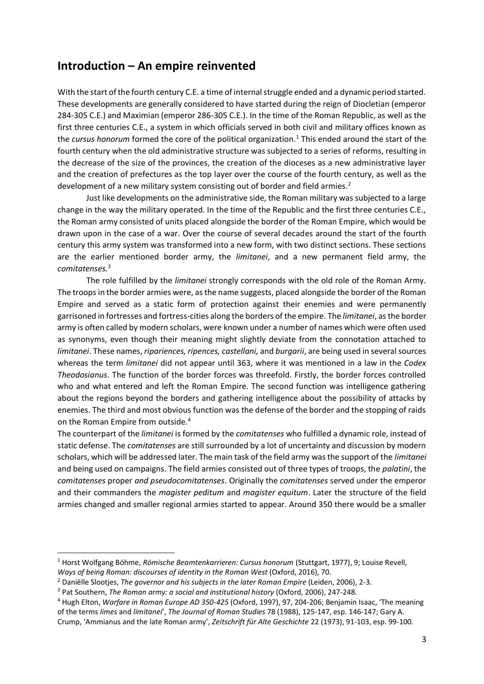## **Introduction – An empire reinvented**

With the start of the fourth century C.E. a time of internal struggle ended and a dynamic period started. These developments are generally considered to have started during the reign of Diocletian (emperor 284-305 C.E.) and Maximian (emperor 286-305 C.E.). In the time of the Roman Republic, as well as the first three centuries C.E., a system in which officials served in both civil and military offices known as the *cursus honorum* formed the core of the political organization.<sup>1</sup> This ended around the start of the fourth century when the old administrative structure was subjected to a series of reforms, resulting in the decrease of the size of the provinces, the creation of the dioceses as a new administrative layer and the creation of prefectures as the top layer over the course of the fourth century, as well as the development of a new military system consisting out of border and field armies.<sup>2</sup>

Just like developments on the administrative side, the Roman military was subjected to a large change in the way the military operated. In the time of the Republic and the first three centuries C.E., the Roman army consisted of units placed alongside the border of the Roman Empire, which would be drawn upon in the case of a war. Over the course of several decades around the start of the fourth century this army system was transformed into a new form, with two distinct sections. These sections are the earlier mentioned border army, the *limitanei*, and a new permanent field army, the *comitatenses.*<sup>3</sup>

The role fulfilled by the *limitanei* strongly corresponds with the old role of the Roman Army. The troops in the border armies were, as the name suggests, placed alongside the border of the Roman Empire and served as a static form of protection against their enemies and were permanently garrisoned in fortresses and fortress-cities along the borders of the empire. The *limitanei*, as the border army is often called by modern scholars, were known under a number of names which were often used as synonyms, even though their meaning might slightly deviate from the connotation attached to *limitanei*. These names, *ripariences, ripences, castellani,* and *burgarii*, are being used in several sources whereas the term *limitanei* did not appear until 363, where it was mentioned in a law in the *Codex Theodosianus*. The function of the border forces was threefold. Firstly, the border forces controlled who and what entered and left the Roman Empire. The second function was intelligence gathering about the regions beyond the borders and gathering intelligence about the possibility of attacks by enemies. The third and most obvious function was the defense of the border and the stopping of raids on the Roman Empire from outside.<sup>4</sup>

The counterpart of the *limitanei* is formed by the *comitatenses* who fulfilled a dynamic role, instead of static defense. The *comitatenses* are still surrounded by a lot of uncertainty and discussion by modern scholars, which will be addressed later. The main task of the field army was the support of the *limitanei* and being used on campaigns. The field armies consisted out of three types of troops, the *palatini*, the *comitatenses* proper *and pseudocomitatenses*. Originally the *comitatenses* served under the emperor and their commanders the *magister peditum* and *magister equitum*. Later the structure of the field armies changed and smaller regional armies started to appear. Around 350 there would be a smaller

<sup>1</sup> Horst Wolfgang Böhme, *Römische Beamtenkarrieren: Cursus honorum* (Stuttgart, 1977), 9; Louise Revell, *Ways of being Roman: discourses of identity in the Roman West* (Oxford, 2016), 70.

<sup>&</sup>lt;sup>2</sup> Daniëlle Slootjes, *The governor and his subjects in the later Roman Empire* (Leiden, 2006), 2-3.

<sup>3</sup> Pat Southern, *The Roman army: a social and institutional history* (Oxford, 2006), 247-248.

<sup>4</sup> Hugh Elton, *Warfare in Roman Europe AD 350-425* (Oxford, 1997), 97, 204-206; Benjamin Isaac, 'The meaning of the terms *limes* and *limitanei*', *The Journal of Roman Studies* 78 (1988), 125-147, esp. 146-147; Gary A. Crump, 'Ammianus and the late Roman army', *Zeitschrift für Alte Geschichte* 22 (1973), 91-103, esp. 99-100.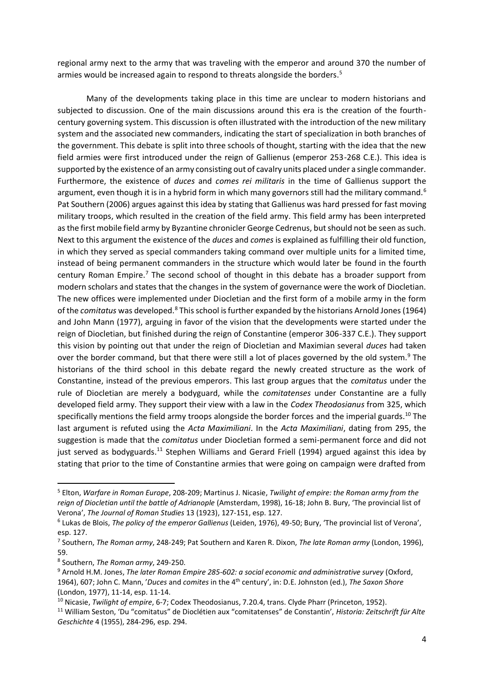regional army next to the army that was traveling with the emperor and around 370 the number of armies would be increased again to respond to threats alongside the borders.<sup>5</sup>

Many of the developments taking place in this time are unclear to modern historians and subjected to discussion. One of the main discussions around this era is the creation of the fourthcentury governing system. This discussion is often illustrated with the introduction of the new military system and the associated new commanders, indicating the start of specialization in both branches of the government. This debate is split into three schools of thought, starting with the idea that the new field armies were first introduced under the reign of Gallienus (emperor 253-268 C.E.). This idea is supported by the existence of an army consisting out of cavalry units placed under a single commander. Furthermore, the existence of *duces* and *comes rei militaris* in the time of Gallienus support the argument, even though it is in a hybrid form in which many governors still had the military command.<sup>6</sup> Pat Southern (2006) argues against this idea by stating that Gallienus was hard pressed for fast moving military troops, which resulted in the creation of the field army. This field army has been interpreted as the first mobile field army by Byzantine chronicler George Cedrenus, but should not be seen as such. Next to this argument the existence of the *duces* and *comes* is explained as fulfilling their old function, in which they served as special commanders taking command over multiple units for a limited time, instead of being permanent commanders in the structure which would later be found in the fourth century Roman Empire.<sup>7</sup> The second school of thought in this debate has a broader support from modern scholars and states that the changes in the system of governance were the work of Diocletian. The new offices were implemented under Diocletian and the first form of a mobile army in the form of the *comitatus* was developed.<sup>8</sup> This school is further expanded by the historians Arnold Jones (1964) and John Mann (1977), arguing in favor of the vision that the developments were started under the reign of Diocletian, but finished during the reign of Constantine (emperor 306-337 C.E.). They support this vision by pointing out that under the reign of Diocletian and Maximian several *duces* had taken over the border command, but that there were still a lot of places governed by the old system.<sup>9</sup> The historians of the third school in this debate regard the newly created structure as the work of Constantine, instead of the previous emperors. This last group argues that the *comitatus* under the rule of Diocletian are merely a bodyguard, while the *comitatenses* under Constantine are a fully developed field army. They support their view with a law in the *Codex Theodosianus* from 325, which specifically mentions the field army troops alongside the border forces and the imperial guards.<sup>10</sup> The last argument is refuted using the *Acta Maximiliani*. In the *Acta Maximiliani*, dating from 295, the suggestion is made that the *comitatus* under Diocletian formed a semi-permanent force and did not just served as bodyguards.<sup>11</sup> Stephen Williams and Gerard Friell (1994) argued against this idea by stating that prior to the time of Constantine armies that were going on campaign were drafted from

<sup>5</sup> Elton, *Warfare in Roman Europe*, 208-209; Martinus J. Nicasie, *Twilight of empire: the Roman army from the reign of Diocletian until the battle of Adrianople* (Amsterdam, 1998), 16-18; John B. Bury, 'The provincial list of Verona', *The Journal of Roman Studies* 13 (1923), 127-151, esp. 127.

<sup>6</sup> Lukas de Blois, *The policy of the emperor Gallienus* (Leiden, 1976), 49-50; Bury, 'The provincial list of Verona', esp. 127.

<sup>7</sup> Southern, *The Roman army*, 248-249; Pat Southern and Karen R. Dixon, *The late Roman army* (London, 1996), 59.

<sup>8</sup> Southern, *The Roman army*, 249-250.

<sup>9</sup> Arnold H.M. Jones, *The later Roman Empire 285-602: a social economic and administrative survey* (Oxford, 1964), 607; John C. Mann, '*Duces* and *comites* in the 4th century', in: D.E. Johnston (ed.), *The Saxon Shore* (London, 1977), 11-14, esp. 11-14.

<sup>10</sup> Nicasie, *Twilight of empire*, 6-7; Codex Theodosianus, 7.20.4, trans. Clyde Pharr (Princeton, 1952).

<sup>11</sup> William Seston, 'Du "comitatus" de Dioclétien aux "comitatenses" de Constantin', *Historia: Zeitschrift für Alte Geschichte* 4 (1955), 284-296, esp. 294.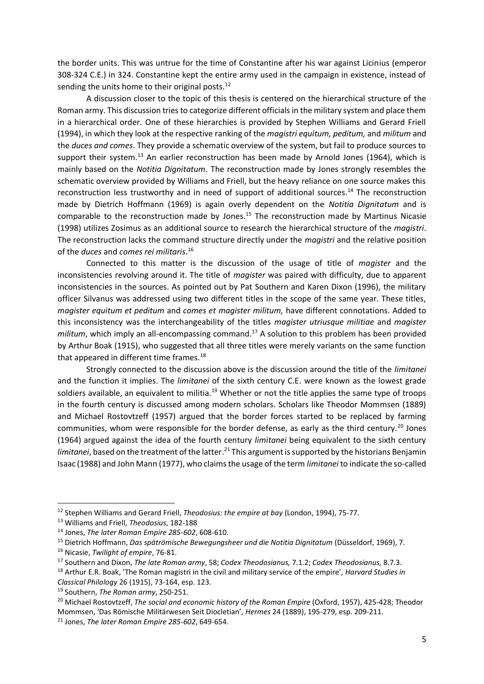the border units. This was untrue for the time of Constantine after his war against Licinius (emperor 308-324 C.E.) in 324. Constantine kept the entire army used in the campaign in existence, instead of sending the units home to their original posts. $^{12}$ 

A discussion closer to the topic of this thesis is centered on the hierarchical structure of the Roman army. This discussion tries to categorize different officials in the military system and place them in a hierarchical order. One of these hierarchies is provided by Stephen Williams and Gerard Friell (1994), in which they look at the respective ranking of the *magistri equitum, peditum,* and *militum* and the *duces and comes*. They provide a schematic overview of the system, but fail to produce sources to support their system.<sup>13</sup> An earlier reconstruction has been made by Arnold Jones (1964), which is mainly based on the *Notitia Dignitatum*. The reconstruction made by Jones strongly resembles the schematic overview provided by Williams and Friell, but the heavy reliance on one source makes this reconstruction less trustworthy and in need of support of additional sources.<sup>14</sup> The reconstruction made by Dietrich Hoffmann (1969) is again overly dependent on the *Notitia Dignitatum* and is comparable to the reconstruction made by Jones.<sup>15</sup> The reconstruction made by Martinus Nicasie (1998) utilizes Zosimus as an additional source to research the hierarchical structure of the *magistri*. The reconstruction lacks the command structure directly under the *magistri* and the relative position of the *duces* and *comes rei militaris*. 16

Connected to this matter is the discussion of the usage of title of *magister* and the inconsistencies revolving around it. The title of *magister* was paired with difficulty, due to apparent inconsistencies in the sources. As pointed out by Pat Southern and Karen Dixon (1996), the military officer Silvanus was addressed using two different titles in the scope of the same year. These titles, *magister equitum et peditum* and *comes et magister militum,* have different connotations. Added to this inconsistency was the interchangeability of the titles *magister utriusque militiae* and *magister militum*, which imply an all-encompassing command.<sup>17</sup> A solution to this problem has been provided by Arthur Boak (1915), who suggested that all three titles were merely variants on the same function that appeared in different time frames. $18$ 

Strongly connected to the discussion above is the discussion around the title of the *limitanei* and the function it implies. The *limitanei* of the sixth century C.E. were known as the lowest grade soldiers available, an equivalent to militia.<sup>19</sup> Whether or not the title applies the same type of troops in the fourth century is discussed among modern scholars. Scholars like Theodor Mommsen (1889) and Michael Rostovtzeff (1957) argued that the border forces started to be replaced by farming communities, whom were responsible for the border defense, as early as the third century.<sup>20</sup> Jones (1964) argued against the idea of the fourth century *limitanei* being equivalent to the sixth century *limitanei*, based on the treatment of the latter.<sup>21</sup> This argument is supported by the historians Benjamin Isaac (1988) and John Mann (1977), who claims the usage of the term *limitanei* to indicate the so-called

<sup>12</sup> Stephen Williams and Gerard Friell, *Theodosius: the empire at bay* (London, 1994), 75-77.

<sup>13</sup> Williams and Friell, *Theodosius*, 182-188

<sup>14</sup> Jones, *The later Roman Empire 285-602*, 608-610.

<sup>15</sup> Dietrich Hoffmann, *Das spätrömische Bewegungsheer und die Notitia Dignitatum* (Düsseldorf, 1969), 7.

<sup>16</sup> Nicasie, *Twilight of empire*, 76-81.

<sup>17</sup> Southern and Dixon, *The late Roman army*, 58; *Codex Theodosianus,* 7.1.2; *Codex Theodosianus,* 8.7.3.

<sup>18</sup> Arthur E.R. Boak, 'The Roman magistri in the civil and military service of the empire', *Harvard Studies in Classical Philology* 26 (1915), 73-164, esp. 123.

<sup>19</sup> Southern, *The Roman army*, 250-251.

<sup>&</sup>lt;sup>20</sup> Michael Rostovtzeff, *The social and economic history of the Roman Empire* (Oxford, 1957), 425-428; Theodor Mommsen, 'Das Römische Militärwesen Seit Diocletian', *Hermes* 24 (1889), 195-279, esp. 209-211.

<sup>21</sup> Jones, *The later Roman Empire 285-602*, 649-654.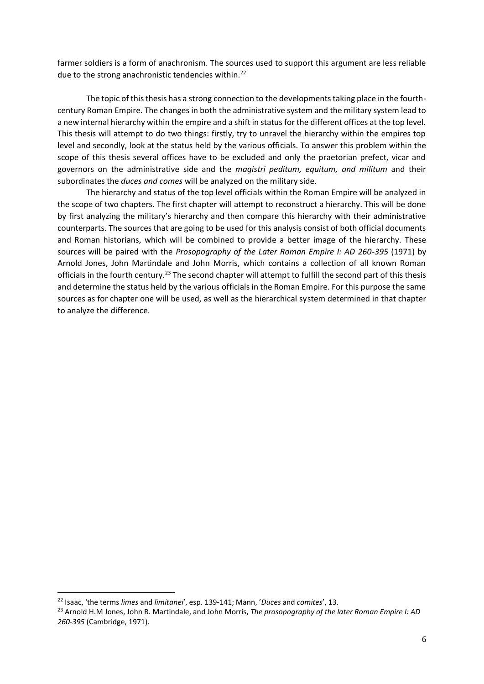farmer soldiers is a form of anachronism. The sources used to support this argument are less reliable due to the strong anachronistic tendencies within.<sup>22</sup>

The topic of this thesis has a strong connection to the developments taking place in the fourthcentury Roman Empire. The changes in both the administrative system and the military system lead to a new internal hierarchy within the empire and a shift in status for the different offices at the top level. This thesis will attempt to do two things: firstly, try to unravel the hierarchy within the empires top level and secondly, look at the status held by the various officials. To answer this problem within the scope of this thesis several offices have to be excluded and only the praetorian prefect, vicar and governors on the administrative side and the *magistri peditum, equitum, and militum* and their subordinates the *duces and comes* will be analyzed on the military side.

The hierarchy and status of the top level officials within the Roman Empire will be analyzed in the scope of two chapters. The first chapter will attempt to reconstruct a hierarchy. This will be done by first analyzing the military's hierarchy and then compare this hierarchy with their administrative counterparts. The sources that are going to be used for this analysis consist of both official documents and Roman historians, which will be combined to provide a better image of the hierarchy. These sources will be paired with the *Prosopography of the Later Roman Empire I: AD 260-395* (1971) by Arnold Jones, John Martindale and John Morris, which contains a collection of all known Roman officials in the fourth century.<sup>23</sup> The second chapter will attempt to fulfill the second part of this thesis and determine the status held by the various officials in the Roman Empire. For this purpose the same sources as for chapter one will be used, as well as the hierarchical system determined in that chapter to analyze the difference.

<sup>22</sup> Isaac, 'the terms *limes* and *limitanei*', esp. 139-141; Mann, '*Duces* and *comites*', 13.

<sup>23</sup> Arnold H.M Jones, John R. Martindale, and John Morris, *The prosopography of the later Roman Empire I: AD 260-395* (Cambridge, 1971).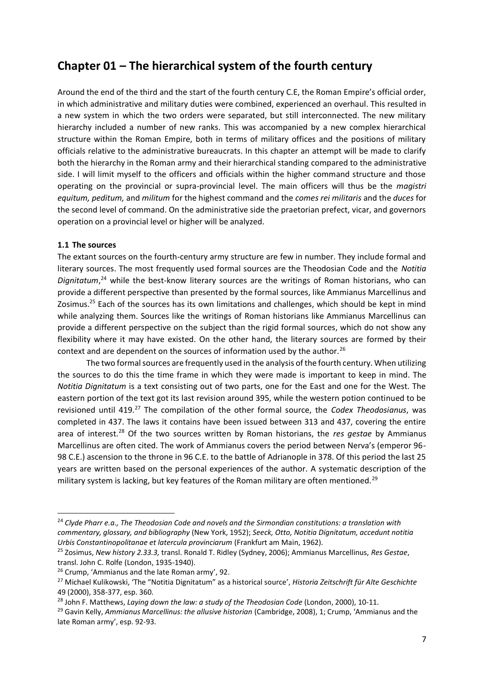## **Chapter 01 – The hierarchical system of the fourth century**

Around the end of the third and the start of the fourth century C.E, the Roman Empire's official order, in which administrative and military duties were combined, experienced an overhaul. This resulted in a new system in which the two orders were separated, but still interconnected. The new military hierarchy included a number of new ranks. This was accompanied by a new complex hierarchical structure within the Roman Empire, both in terms of military offices and the positions of military officials relative to the administrative bureaucrats. In this chapter an attempt will be made to clarify both the hierarchy in the Roman army and their hierarchical standing compared to the administrative side. I will limit myself to the officers and officials within the higher command structure and those operating on the provincial or supra-provincial level. The main officers will thus be the *magistri equitum, peditum,* and *militum* for the highest command and the *comes rei militaris* and the *duces* for the second level of command. On the administrative side the praetorian prefect, vicar, and governors operation on a provincial level or higher will be analyzed.

### **1.1 The sources**

 $\overline{a}$ 

The extant sources on the fourth-century army structure are few in number. They include formal and literary sources. The most frequently used formal sources are the Theodosian Code and the *Notitia Dignitatum*, <sup>24</sup> while the best-know literary sources are the writings of Roman historians, who can provide a different perspective than presented by the formal sources, like Ammianus Marcellinus and Zosimus.<sup>25</sup> Each of the sources has its own limitations and challenges, which should be kept in mind while analyzing them. Sources like the writings of Roman historians like Ammianus Marcellinus can provide a different perspective on the subject than the rigid formal sources, which do not show any flexibility where it may have existed. On the other hand, the literary sources are formed by their context and are dependent on the sources of information used by the author.<sup>26</sup>

The two formal sources are frequently used in the analysis of the fourth century. When utilizing the sources to do this the time frame in which they were made is important to keep in mind. The *Notitia Dignitatum* is a text consisting out of two parts, one for the East and one for the West. The eastern portion of the text got its last revision around 395, while the western potion continued to be revisioned until 419.<sup>27</sup> The compilation of the other formal source, the *Codex Theodosianus*, was completed in 437. The laws it contains have been issued between 313 and 437, covering the entire area of interest.<sup>28</sup> Of the two sources written by Roman historians, the *res gestae* by Ammianus Marcellinus are often cited. The work of Ammianus covers the period between Nerva's (emperor 96- 98 C.E.) ascension to the throne in 96 C.E. to the battle of Adrianople in 378. Of this period the last 25 years are written based on the personal experiences of the author. A systematic description of the military system is lacking, but key features of the Roman military are often mentioned.<sup>29</sup>

<sup>24</sup> *Clyde Pharr e.a., The Theodosian Code and novels and the Sirmondian constitutions: a translation with commentary, glossary, and bibliography* (New York, 1952); *Seeck, Otto, Notitia Dignitatum, accedunt notitia Urbis Constantinopolitanae et latercula provinciarum* (Frankfurt am Main, 1962).

<sup>25</sup> Zosimus, *New history 2.33.3,* transl. Ronald T. Ridley (Sydney, 2006); Ammianus Marcellinus, *Res Gestae*, transl. John C. Rolfe (London, 1935-1940).

<sup>&</sup>lt;sup>26</sup> Crump, 'Ammianus and the late Roman army', 92.

<sup>27</sup> Michael Kulikowski, 'The "Notitia Dignitatum" as a historical source', *Historia Zeitschrift für Alte Geschichte*  49 (2000), 358-377, esp. 360.

<sup>28</sup> John F. Matthews, *Laying down the law: a study of the Theodosian Code* (London, 2000), 10-11.

<sup>29</sup> Gavin Kelly, *Ammianus Marcellinus: the allusive historian* (Cambridge, 2008), 1; Crump, 'Ammianus and the late Roman army', esp. 92-93.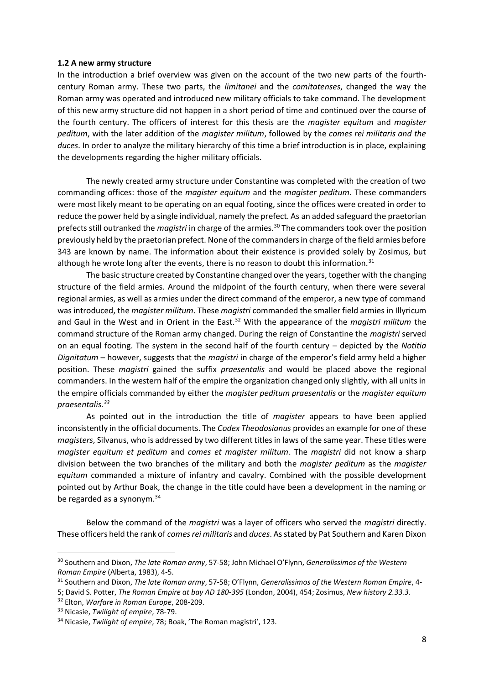#### **1.2 A new army structure**

In the introduction a brief overview was given on the account of the two new parts of the fourthcentury Roman army. These two parts, the *limitanei* and the *comitatenses*, changed the way the Roman army was operated and introduced new military officials to take command. The development of this new army structure did not happen in a short period of time and continued over the course of the fourth century. The officers of interest for this thesis are the *magister equitum* and *magister peditum*, with the later addition of the *magister militum*, followed by the *comes rei militaris and the duces*. In order to analyze the military hierarchy of this time a brief introduction is in place, explaining the developments regarding the higher military officials.

The newly created army structure under Constantine was completed with the creation of two commanding offices: those of the *magister equitum* and the *magister peditum*. These commanders were most likely meant to be operating on an equal footing, since the offices were created in order to reduce the power held by a single individual, namely the prefect. As an added safeguard the praetorian prefects still outranked the *magistri* in charge of the armies.<sup>30</sup> The commanders took over the position previously held by the praetorian prefect. None of the commanders in charge of the field armies before 343 are known by name. The information about their existence is provided solely by Zosimus, but although he wrote long after the events, there is no reason to doubt this information.<sup>31</sup>

The basic structure created by Constantine changed over the years, together with the changing structure of the field armies. Around the midpoint of the fourth century, when there were several regional armies, as well as armies under the direct command of the emperor, a new type of command was introduced, the *magister militum*. These *magistri* commanded the smaller field armies in Illyricum and Gaul in the West and in Orient in the East.<sup>32</sup> With the appearance of the *magistri militum* the command structure of the Roman army changed. During the reign of Constantine the *magistri* served on an equal footing. The system in the second half of the fourth century – depicted by the *Notitia Dignitatum* – however, suggests that the *magistri* in charge of the emperor's field army held a higher position. These *magistri* gained the suffix *praesentalis* and would be placed above the regional commanders. In the western half of the empire the organization changed only slightly, with all units in the empire officials commanded by either the *magister peditum praesentalis* or the *magister equitum praesentalis.<sup>33</sup>*

As pointed out in the introduction the title of *magister* appears to have been applied inconsistently in the official documents. The *Codex Theodosianus* provides an example for one of these *magisters*, Silvanus, who is addressed by two different titles in laws of the same year. These titles were *magister equitum et peditum* and *comes et magister militum*. The *magistri* did not know a sharp division between the two branches of the military and both the *magister peditum* as the *magister equitum* commanded a mixture of infantry and cavalry. Combined with the possible development pointed out by Arthur Boak, the change in the title could have been a development in the naming or be regarded as a synonym.<sup>34</sup>

Below the command of the *magistri* was a layer of officers who served the *magistri* directly. These officers held the rank of *comes rei militaris* and *duces*. As stated by Pat Southern and Karen Dixon

<sup>30</sup> Southern and Dixon, *The late Roman army*, 57-58; John Michael O'Flynn, *Generalissimos of the Western Roman Empire* (Alberta, 1983), 4-5.

<sup>31</sup> Southern and Dixon, *The late Roman army*, 57-58; O'Flynn, *Generalissimos of the Western Roman Empire*, 4-

<sup>5;</sup> David S. Potter, *The Roman Empire at bay AD 180-395* (London, 2004), 454; Zosimus, *New history 2.33.3*.

<sup>32</sup> Elton, *Warfare in Roman Europe*, 208-209.

<sup>33</sup> Nicasie, *Twilight of empire*, 78-79.

<sup>34</sup> Nicasie, *Twilight of empire*, 78; Boak, 'The Roman magistri', 123.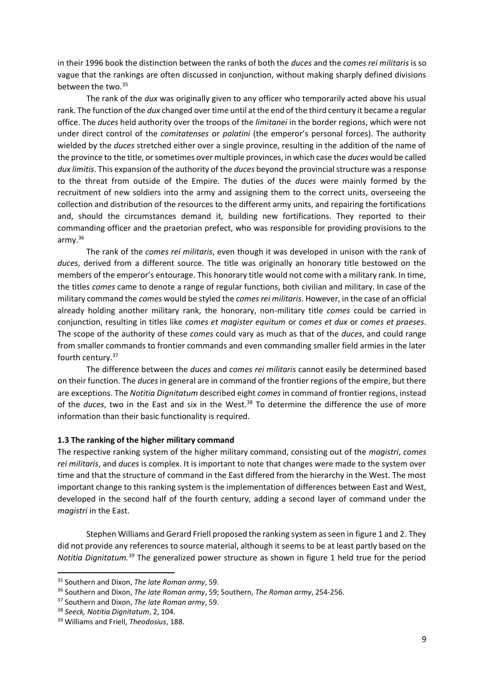in their 1996 book the distinction between the ranks of both the *duces* and the *comes rei militaris* is so vague that the rankings are often discussed in conjunction, without making sharply defined divisions between the two.<sup>35</sup>

The rank of the *dux* was originally given to any officer who temporarily acted above his usual rank. The function of the *dux* changed over time until at the end of the third century it became a regular office. The *duces* held authority over the troops of the *limitanei* in the border regions, which were not under direct control of the *comitatenses* or *palatini* (the emperor's personal forces). The authority wielded by the *duces* stretched either over a single province, resulting in the addition of the name of the province to the title, or sometimes over multiple provinces, in which case the *duces* would be called *dux limitis*. This expansion of the authority of the *duces* beyond the provincial structure was a response to the threat from outside of the Empire. The duties of the *duces* were mainly formed by the recruitment of new soldiers into the army and assigning them to the correct units, overseeing the collection and distribution of the resources to the different army units, and repairing the fortifications and, should the circumstances demand it, building new fortifications. They reported to their commanding officer and the praetorian prefect, who was responsible for providing provisions to the army.<sup>36</sup>

The rank of the *comes rei militaris*, even though it was developed in unison with the rank of *duces*, derived from a different source. The title was originally an honorary title bestowed on the members of the emperor's entourage. This honorary title would not come with a military rank. In time, the titles *comes* came to denote a range of regular functions, both civilian and military. In case of the military command the *comes* would be styled the *comes rei militaris*. However, in the case of an official already holding another military rank, the honorary, non-military title *comes* could be carried in conjunction, resulting in titles like *comes et magister equitum* or *comes et dux* or *comes et praeses*. The scope of the authority of these *comes* could vary as much as that of the *duces*, and could range from smaller commands to frontier commands and even commanding smaller field armies in the later fourth century.<sup>37</sup>

The difference between the *duces* and *comes rei militaris* cannot easily be determined based on their function. The *duces*in general are in command of the frontier regions of the empire, but there are exceptions. The *Notitia Dignitatum* described eight *comes* in command of frontier regions, instead of the *duces*, two in the East and six in the West.<sup>38</sup> To determine the difference the use of more information than their basic functionality is required.

#### **1.3 The ranking of the higher military command**

The respective ranking system of the higher military command, consisting out of the *magistri*, *comes rei militaris*, and *duces* is complex. It is important to note that changes were made to the system over time and that the structure of command in the East differed from the hierarchy in the West. The most important change to this ranking system is the implementation of differences between East and West, developed in the second half of the fourth century, adding a second layer of command under the *magistri* in the East.

Stephen Williams and Gerard Friell proposed the ranking system as seen in figure 1 and 2. They did not provide any references to source material, although it seems to be at least partly based on the *Notitia Dignitatum.<sup>39</sup>* The generalized power structure as shown in figure 1 held true for the period

<sup>35</sup> Southern and Dixon, *The late Roman army*, 59.

<sup>36</sup> Southern and Dixon, *The late Roman army*, 59; Southern, *The Roman army*, 254-256.

<sup>37</sup> Southern and Dixon, *The late Roman army*, 59.

<sup>38</sup> *Seeck, Notitia Dignitatum*, 2, 104.

<sup>39</sup> Williams and Friell, *Theodosius*, 188.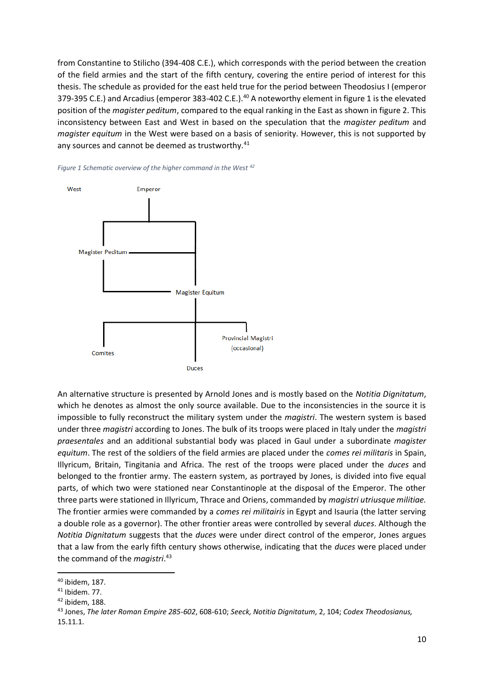from Constantine to Stilicho (394-408 C.E.), which corresponds with the period between the creation of the field armies and the start of the fifth century, covering the entire period of interest for this thesis. The schedule as provided for the east held true for the period between Theodosius I (emperor 379-395 C.E.) and Arcadius (emperor 383-402 C.E.).<sup>40</sup> A noteworthy element in figure 1 is the elevated position of the *magister peditum*, compared to the equal ranking in the East as shown in figure 2. This inconsistency between East and West in based on the speculation that the *magister peditum* and *magister equitum* in the West were based on a basis of seniority. However, this is not supported by any sources and cannot be deemed as trustworthy.<sup>41</sup>



*Figure 1 Schematic overview of the higher command in the West <sup>42</sup>*

An alternative structure is presented by Arnold Jones and is mostly based on the *Notitia Dignitatum*, which he denotes as almost the only source available. Due to the inconsistencies in the source it is impossible to fully reconstruct the military system under the *magistri*. The western system is based under three *magistri* according to Jones. The bulk of its troops were placed in Italy under the *magistri praesentales* and an additional substantial body was placed in Gaul under a subordinate *magister equitum*. The rest of the soldiers of the field armies are placed under the *comes rei militaris* in Spain, Illyricum, Britain, Tingitania and Africa. The rest of the troops were placed under the *duces* and belonged to the frontier army. The eastern system, as portrayed by Jones, is divided into five equal parts, of which two were stationed near Constantinople at the disposal of the Emperor. The other three parts were stationed in Illyricum, Thrace and Oriens, commanded by *magistri utriusque militiae.* The frontier armies were commanded by a *comes rei militairis* in Egypt and Isauria (the latter serving a double role as a governor). The other frontier areas were controlled by several *duces*. Although the *Notitia Dignitatum* suggests that the *duces* were under direct control of the emperor, Jones argues that a law from the early fifth century shows otherwise, indicating that the *duces* were placed under the command of the *magistri*. 43

<sup>40</sup> ibidem, 187.

<sup>41</sup> Ibidem. 77.

 $42$  ibidem, 188.

<sup>43</sup> Jones, *The later Roman Empire 285-602*, 608-610; *Seeck, Notitia Dignitatum,* 2, 104; *Codex Theodosianus,*  15.11.1.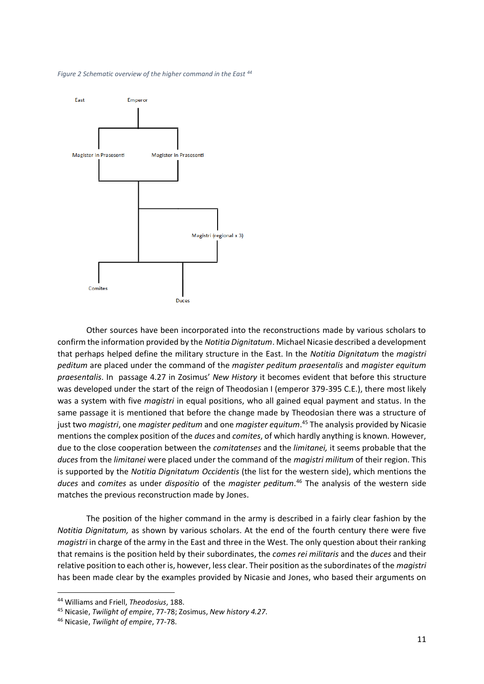*Figure 2 Schematic overview of the higher command in the East <sup>44</sup>*



Other sources have been incorporated into the reconstructions made by various scholars to confirm the information provided by the *Notitia Dignitatum*. Michael Nicasie described a development that perhaps helped define the military structure in the East. In the *Notitia Dignitatum* the *magistri peditum* are placed under the command of the *magister peditum praesentalis* and *magister equitum praesentalis*. In passage 4.27 in Zosimus' *New History* it becomes evident that before this structure was developed under the start of the reign of Theodosian I (emperor 379-395 C.E.), there most likely was a system with five *magistri* in equal positions, who all gained equal payment and status. In the same passage it is mentioned that before the change made by Theodosian there was a structure of just two *magistri*, one *magister peditum* and one *magister equitum*. <sup>45</sup> The analysis provided by Nicasie mentions the complex position of the *duces* and *comites*, of which hardly anything is known. However, due to the close cooperation between the *comitatenses* and the *limitanei,* it seems probable that the *duces* from the *limitanei* were placed under the command of the *magistri militum* of their region. This is supported by the *Notitia Dignitatum Occidentis* (the list for the western side), which mentions the *duces* and *comites* as under *dispositio* of the *magister peditum*. <sup>46</sup> The analysis of the western side matches the previous reconstruction made by Jones.

The position of the higher command in the army is described in a fairly clear fashion by the *Notitia Dignitatum,* as shown by various scholars. At the end of the fourth century there were five *magistri* in charge of the army in the East and three in the West. The only question about their ranking that remains is the position held by their subordinates, the *comes rei militaris* and the *duces* and their relative position to each other is, however, less clear. Their position as the subordinates of the *magistri* has been made clear by the examples provided by Nicasie and Jones, who based their arguments on

<sup>44</sup> Williams and Friell, *Theodosius*, 188.

<sup>45</sup> Nicasie, *Twilight of empire*, 77-78; Zosimus, *New history 4.27*.

<sup>46</sup> Nicasie, *Twilight of empire*, 77-78.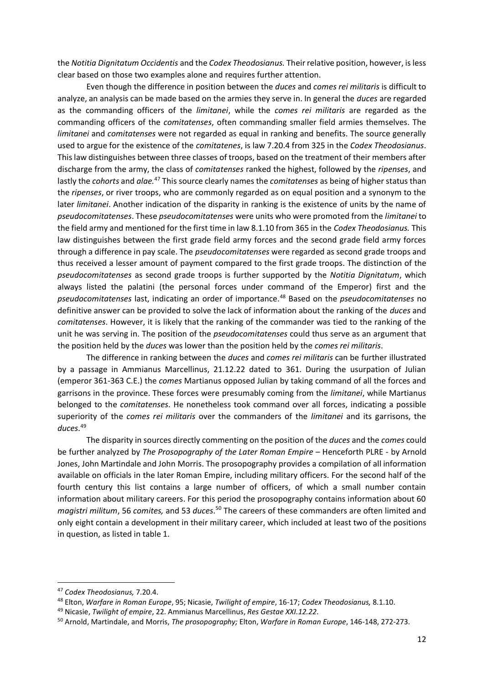the *Notitia Dignitatum Occidentis* and the *Codex Theodosianus.* Their relative position, however, is less clear based on those two examples alone and requires further attention.

Even though the difference in position between the *duces* and *comes rei militaris* is difficult to analyze, an analysis can be made based on the armies they serve in. In general the *duces* are regarded as the commanding officers of the *limitanei*, while the *comes rei militaris* are regarded as the commanding officers of the *comitatenses*, often commanding smaller field armies themselves. The *limitanei* and *comitatenses* were not regarded as equal in ranking and benefits. The source generally used to argue for the existence of the *comitatenes*, is law 7.20.4 from 325 in the *Codex Theodosianus*. This law distinguishes between three classes of troops, based on the treatment of their members after discharge from the army, the class of *comitatenses* ranked the highest, followed by the *ripenses*, and lastly the *cohorts* and *alae.* <sup>47</sup> This source clearly names the *comitatenses* as being of higher status than the *ripenses*, or river troops, who are commonly regarded as on equal position and a synonym to the later *limitanei*. Another indication of the disparity in ranking is the existence of units by the name of *pseudocomitatenses*. These *pseudocomitatenses* were units who were promoted from the *limitanei* to the field army and mentioned for the first time in law 8.1.10 from 365 in the *Codex Theodosianus.* This law distinguishes between the first grade field army forces and the second grade field army forces through a difference in pay scale. The *pseudocomitatenses* were regarded as second grade troops and thus received a lesser amount of payment compared to the first grade troops. The distinction of the *pseudocomitatenses* as second grade troops is further supported by the *Notitia Dignitatum*, which always listed the palatini (the personal forces under command of the Emperor) first and the *pseudocomitatenses* last, indicating an order of importance. <sup>48</sup> Based on the *pseudocomitatenses* no definitive answer can be provided to solve the lack of information about the ranking of the *duces* and *comitatenses*. However, it is likely that the ranking of the commander was tied to the ranking of the unit he was serving in. The position of the *pseudocomitatenses* could thus serve as an argument that the position held by the *duces* was lower than the position held by the *comes rei militaris*.

The difference in ranking between the *duces* and *comes rei militaris* can be further illustrated by a passage in Ammianus Marcellinus, 21.12.22 dated to 361. During the usurpation of Julian (emperor 361-363 C.E.) the *comes* Martianus opposed Julian by taking command of all the forces and garrisons in the province. These forces were presumably coming from the *limitanei*, while Martianus belonged to the *comitatenses*. He nonetheless took command over all forces, indicating a possible superiority of the *comes rei militaris* over the commanders of the *limitanei* and its garrisons, the *duces*. 49

The disparity in sources directly commenting on the position of the *duces* and the *comes* could be further analyzed by *The Prosopography of the Later Roman Empire* – Henceforth PLRE - by Arnold Jones, John Martindale and John Morris. The prosopography provides a compilation of all information available on officials in the later Roman Empire, including military officers. For the second half of the fourth century this list contains a large number of officers, of which a small number contain information about military careers. For this period the prosopography contains information about 60 *magistri militum*, 56 *comites,* and 53 *duces*. <sup>50</sup> The careers of these commanders are often limited and only eight contain a development in their military career, which included at least two of the positions in question, as listed in table 1.

<sup>47</sup> *Codex Theodosianus,* 7.20.4.

<sup>48</sup> Elton, *Warfare in Roman Europe*, 95; Nicasie, *Twilight of empire*, 16-17; *Codex Theodosianus,* 8.1.10.

<sup>49</sup> Nicasie, *Twilight of empire*, 22. Ammianus Marcellinus, *Res Gestae XXI.12.22*.

<sup>50</sup> Arnold, Martindale, and Morris, *The prosopography;* Elton, *Warfare in Roman Europe*, 146-148, 272-273.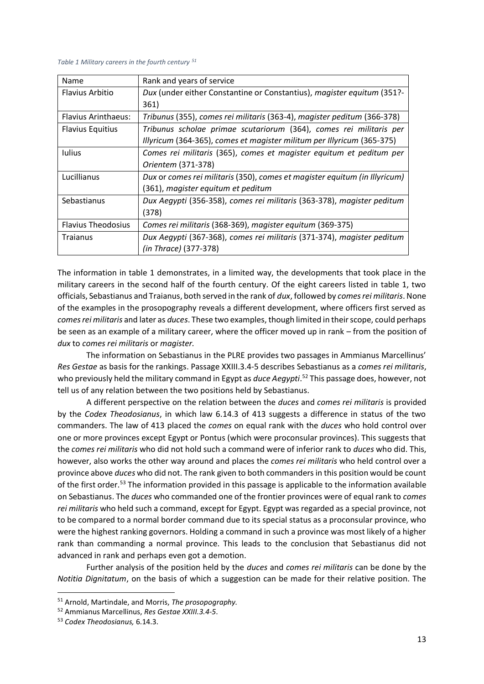#### *Table 1 Military careers in the fourth century <sup>51</sup>*

| <b>Name</b>                | Rank and years of service                                                  |
|----------------------------|----------------------------------------------------------------------------|
| Flavius Arbitio            | Dux (under either Constantine or Constantius), magister equitum (351?-     |
|                            | 361)                                                                       |
| <b>Flavius Arinthaeus:</b> | Tribunus (355), comes rei militaris (363-4), magister peditum (366-378)    |
| <b>Flavius Equitius</b>    | Tribunus scholae primae scutariorum (364), comes rei militaris per         |
|                            | Illyricum (364-365), comes et magister militum per Illyricum (365-375)     |
| <b>Iulius</b>              | Comes rei militaris (365), comes et magister equitum et peditum per        |
|                            | Orientem (371-378)                                                         |
| Lucillianus                | Dux or comes rei militaris (350), comes et magister equitum (in Illyricum) |
|                            | (361), magister equitum et peditum                                         |
| Sebastianus                | Dux Aegypti (356-358), comes rei militaris (363-378), magister peditum     |
|                            | (378)                                                                      |
| <b>Flavius Theodosius</b>  | Comes rei militaris (368-369), magister equitum (369-375)                  |
| Traianus                   | Dux Aegypti (367-368), comes rei militaris (371-374), magister peditum     |
|                            | (in Thrace) (377-378)                                                      |

The information in table 1 demonstrates, in a limited way, the developments that took place in the military careers in the second half of the fourth century. Of the eight careers listed in table 1, two officials, Sebastianus and Traianus, both served in the rank of *dux*, followed by *comes rei militaris*. None of the examples in the prosopography reveals a different development, where officers first served as *comes rei militaris* and later as *duces*. These two examples, though limited in their scope, could perhaps be seen as an example of a military career, where the officer moved up in rank – from the position of *dux* to *comes rei militaris* or *magister.*

The information on Sebastianus in the PLRE provides two passages in Ammianus Marcellinus' *Res Gestae* as basis for the rankings. Passage XXIII.3.4-5 describes Sebastianus as a *comes rei militaris*, who previously held the military command in Egypt as *duce Aegypti*. <sup>52</sup> This passage does, however, not tell us of any relation between the two positions held by Sebastianus.

A different perspective on the relation between the *duces* and *comes rei militaris* is provided by the *Codex Theodosianus*, in which law 6.14.3 of 413 suggests a difference in status of the two commanders. The law of 413 placed the *comes* on equal rank with the *duces* who hold control over one or more provinces except Egypt or Pontus (which were proconsular provinces). This suggests that the *comes rei militaris* who did not hold such a command were of inferior rank to *duces* who did. This, however, also works the other way around and places the *comes rei militaris* who held control over a province above *duces* who did not. The rank given to both commanders in this position would be count of the first order.<sup>53</sup> The information provided in this passage is applicable to the information available on Sebastianus. The *duces* who commanded one of the frontier provinces were of equal rank to *comes rei militaris* who held such a command, except for Egypt. Egypt was regarded as a special province, not to be compared to a normal border command due to its special status as a proconsular province, who were the highest ranking governors. Holding a command in such a province was most likely of a higher rank than commanding a normal province. This leads to the conclusion that Sebastianus did not advanced in rank and perhaps even got a demotion.

Further analysis of the position held by the *duces* and *comes rei militaris* can be done by the *Notitia Dignitatum*, on the basis of which a suggestion can be made for their relative position. The

<sup>51</sup> Arnold, Martindale, and Morris, *The prosopography.*

<sup>52</sup> Ammianus Marcellinus, *Res Gestae XXIII.3.4-5*.

<sup>53</sup> *Codex Theodosianus,* 6.14.3.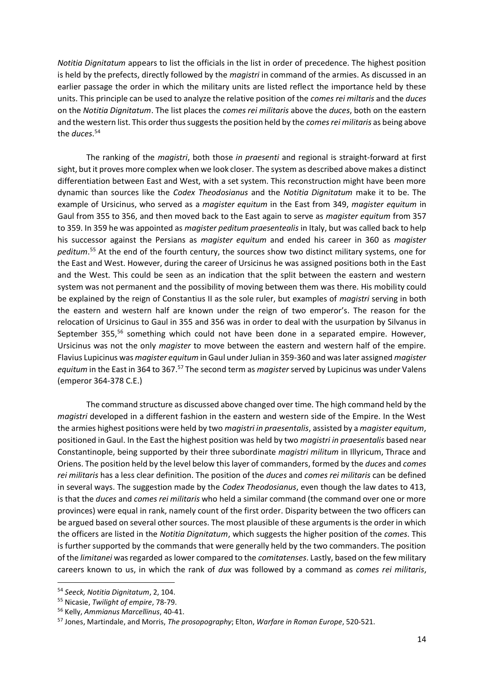*Notitia Dignitatum* appears to list the officials in the list in order of precedence. The highest position is held by the prefects, directly followed by the *magistri* in command of the armies. As discussed in an earlier passage the order in which the military units are listed reflect the importance held by these units. This principle can be used to analyze the relative position of the *comes rei miltaris* and the *duces*  on the *Notitia Dignitatum*. The list places the *comes rei militaris* above the *duces*, both on the eastern and the western list. This order thus suggests the position held by the *comes rei militaris* as being above the *duces*. 54

The ranking of the *magistri*, both those *in praesenti* and regional is straight-forward at first sight, but it proves more complex when we look closer. The system as described above makes a distinct differentiation between East and West, with a set system. This reconstruction might have been more dynamic than sources like the *Codex Theodosianus* and the *Notitia Dignitatum* make it to be. The example of Ursicinus, who served as a *magister equitum* in the East from 349, *magister equitum* in Gaul from 355 to 356, and then moved back to the East again to serve as *magister equitum* from 357 to 359. In 359 he was appointed as *magister peditum praesentealis* in Italy, but was called back to help his successor against the Persians as *magister equitum* and ended his career in 360 as *magister peditum*. <sup>55</sup> At the end of the fourth century, the sources show two distinct military systems, one for the East and West. However, during the career of Ursicinus he was assigned positions both in the East and the West. This could be seen as an indication that the split between the eastern and western system was not permanent and the possibility of moving between them was there. His mobility could be explained by the reign of Constantius II as the sole ruler, but examples of *magistri* serving in both the eastern and western half are known under the reign of two emperor's. The reason for the relocation of Ursicinus to Gaul in 355 and 356 was in order to deal with the usurpation by Silvanus in September 355,<sup>56</sup> something which could not have been done in a separated empire. However, Ursicinus was not the only *magister* to move between the eastern and western half of the empire. Flavius Lupicinus was *magister equitum* in Gaul under Julian in 359-360 and was later assigned *magister equitum* in the East in 364 to 367.<sup>57</sup> The second term as *magister*served by Lupicinus was under Valens (emperor 364-378 C.E.)

The command structure as discussed above changed over time. The high command held by the *magistri* developed in a different fashion in the eastern and western side of the Empire. In the West the armies highest positions were held by two *magistri in praesentalis*, assisted by a *magister equitum*, positioned in Gaul. In the East the highest position was held by two *magistri in praesentalis* based near Constantinople, being supported by their three subordinate *magistri militum* in Illyricum, Thrace and Oriens. The position held by the level below this layer of commanders, formed by the *duces* and *comes rei militaris* has a less clear definition. The position of the *duces* and *comes rei militaris* can be defined in several ways. The suggestion made by the *Codex Theodosianus*, even though the law dates to 413, is that the *duces* and *comes rei militaris* who held a similar command (the command over one or more provinces) were equal in rank, namely count of the first order. Disparity between the two officers can be argued based on several other sources. The most plausible of these arguments is the order in which the officers are listed in the *Notitia Dignitatum*, which suggests the higher position of the *comes*. This is further supported by the commands that were generally held by the two commanders. The position of the *limitanei* was regarded as lower compared to the *comitatenses*. Lastly, based on the few military careers known to us, in which the rank of *dux* was followed by a command as *comes rei militaris*,

<sup>54</sup> *Seeck, Notitia Dignitatum*, 2, 104.

<sup>55</sup> Nicasie, *Twilight of empire*, 78-79.

<sup>56</sup> Kelly, *Ammianus Marcellinus*, 40-41.

<sup>57</sup> Jones, Martindale, and Morris, *The prosopography*; Elton, *Warfare in Roman Europe*, 520-521.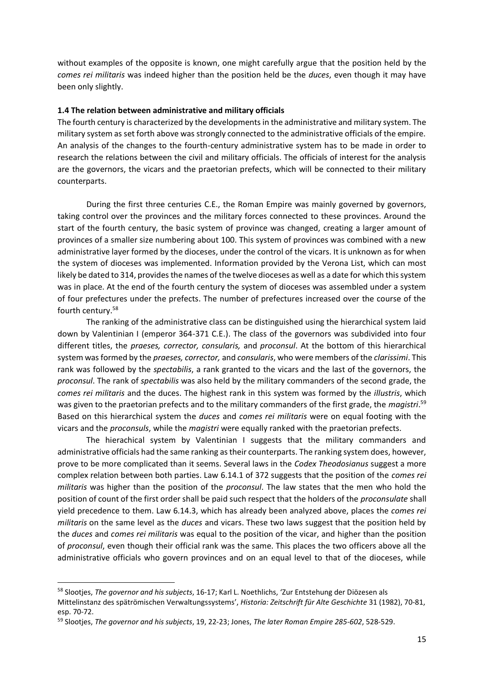without examples of the opposite is known, one might carefully argue that the position held by the *comes rei militaris* was indeed higher than the position held be the *duces*, even though it may have been only slightly.

#### **1.4 The relation between administrative and military officials**

The fourth century is characterized by the developments in the administrative and military system. The military system as set forth above was strongly connected to the administrative officials of the empire. An analysis of the changes to the fourth-century administrative system has to be made in order to research the relations between the civil and military officials. The officials of interest for the analysis are the governors, the vicars and the praetorian prefects, which will be connected to their military counterparts.

During the first three centuries C.E., the Roman Empire was mainly governed by governors, taking control over the provinces and the military forces connected to these provinces. Around the start of the fourth century, the basic system of province was changed, creating a larger amount of provinces of a smaller size numbering about 100. This system of provinces was combined with a new administrative layer formed by the dioceses, under the control of the vicars. It is unknown as for when the system of dioceses was implemented. Information provided by the Verona List, which can most likely be dated to 314, provides the names of the twelve dioceses as well as a date for which this system was in place. At the end of the fourth century the system of dioceses was assembled under a system of four prefectures under the prefects. The number of prefectures increased over the course of the fourth century.<sup>58</sup>

The ranking of the administrative class can be distinguished using the hierarchical system laid down by Valentinian I (emperor 364-371 C.E.). The class of the governors was subdivided into four different titles, the *praeses, corrector, consularis,* and *proconsul*. At the bottom of this hierarchical system was formed by the *praeses, corrector,* and *consularis*, who were members of the *clarissimi*. This rank was followed by the *spectabilis*, a rank granted to the vicars and the last of the governors, the *proconsul*. The rank of *spectabilis* was also held by the military commanders of the second grade, the *comes rei militaris* and the duces. The highest rank in this system was formed by the *illustris*, which was given to the praetorian prefects and to the military commanders of the first grade, the *magistri*. 59 Based on this hierarchical system the *duces* and *comes rei militaris* were on equal footing with the vicars and the *proconsuls*, while the *magistri* were equally ranked with the praetorian prefects.

The hierachical system by Valentinian I suggests that the military commanders and administrative officials had the same ranking as their counterparts. The ranking system does, however, prove to be more complicated than it seems. Several laws in the *Codex Theodosianus* suggest a more complex relation between both parties. Law 6.14.1 of 372 suggests that the position of the *comes rei militaris* was higher than the position of the *proconsul*. The law states that the men who hold the position of count of the first order shall be paid such respect that the holders of the *proconsulate* shall yield precedence to them. Law 6.14.3, which has already been analyzed above, places the *comes rei militaris* on the same level as the *duces* and vicars. These two laws suggest that the position held by the *duces* and *comes rei militaris* was equal to the position of the vicar, and higher than the position of *proconsul*, even though their official rank was the same. This places the two officers above all the administrative officials who govern provinces and on an equal level to that of the dioceses, while

<sup>58</sup> Slootjes, *The governor and his subjects*, 16-17; Karl L. Noethlichs, 'Zur Entstehung der Diözesen als Mittelinstanz des spätrömischen Verwaltungssystems', *Historia: Zeitschrift für Alte Geschichte* 31 (1982), 70-81, esp. 70-72.

<sup>59</sup> Slootjes, *The governor and his subjects*, 19, 22-23; Jones, *The later Roman Empire 285-602*, 528-529.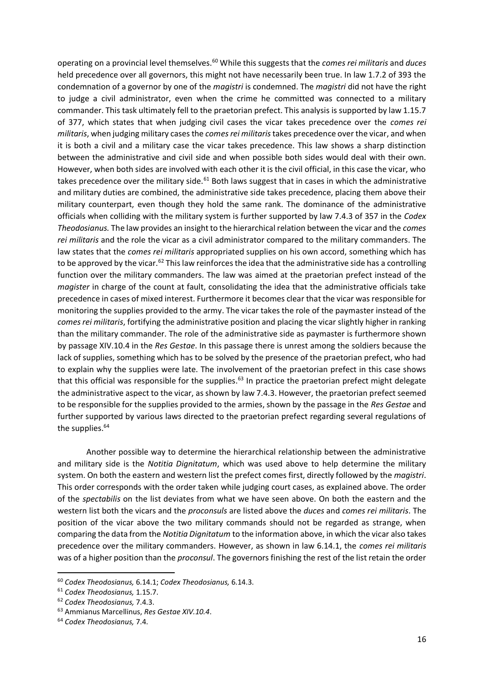operating on a provincial level themselves.<sup>60</sup> While this suggests that the *comes rei militaris* and *duces* held precedence over all governors, this might not have necessarily been true. In law 1.7.2 of 393 the condemnation of a governor by one of the *magistri* is condemned. The *magistri* did not have the right to judge a civil administrator, even when the crime he committed was connected to a military commander. This task ultimately fell to the praetorian prefect. This analysis is supported by law 1.15.7 of 377, which states that when judging civil cases the vicar takes precedence over the *comes rei militaris*, when judging military cases the *comes rei militaris* takes precedence over the vicar, and when it is both a civil and a military case the vicar takes precedence. This law shows a sharp distinction between the administrative and civil side and when possible both sides would deal with their own. However, when both sides are involved with each other it is the civil official, in this case the vicar, who takes precedence over the military side.<sup>61</sup> Both laws suggest that in cases in which the administrative and military duties are combined, the administrative side takes precedence, placing them above their military counterpart, even though they hold the same rank. The dominance of the administrative officials when colliding with the military system is further supported by law 7.4.3 of 357 in the *Codex Theodosianus.* The law provides an insight to the hierarchical relation between the vicar and the *comes rei militaris* and the role the vicar as a civil administrator compared to the military commanders. The law states that the *comes rei militaris* appropriated supplies on his own accord, something which has to be approved by the vicar.<sup>62</sup> This law reinforces the idea that the administrative side has a controlling function over the military commanders. The law was aimed at the praetorian prefect instead of the *magister* in charge of the count at fault, consolidating the idea that the administrative officials take precedence in cases of mixed interest. Furthermore it becomes clear that the vicar was responsible for monitoring the supplies provided to the army. The vicar takes the role of the paymaster instead of the *comes rei militaris*, fortifying the administrative position and placing the vicar slightly higher in ranking than the military commander. The role of the administrative side as paymaster is furthermore shown by passage XIV.10.4 in the *Res Gestae*. In this passage there is unrest among the soldiers because the lack of supplies, something which has to be solved by the presence of the praetorian prefect, who had to explain why the supplies were late. The involvement of the praetorian prefect in this case shows that this official was responsible for the supplies.<sup>63</sup> In practice the praetorian prefect might delegate the administrative aspect to the vicar, as shown by law 7.4.3. However, the praetorian prefect seemed to be responsible for the supplies provided to the armies, shown by the passage in the *Res Gestae* and further supported by various laws directed to the praetorian prefect regarding several regulations of the supplies.<sup>64</sup>

Another possible way to determine the hierarchical relationship between the administrative and military side is the *Notitia Dignitatum*, which was used above to help determine the military system. On both the eastern and western list the prefect comes first, directly followed by the *magistri*. This order corresponds with the order taken while judging court cases, as explained above. The order of the *spectabilis* on the list deviates from what we have seen above. On both the eastern and the western list both the vicars and the *proconsuls* are listed above the *duces* and *comes rei militaris*. The position of the vicar above the two military commands should not be regarded as strange, when comparing the data from the *Notitia Dignitatum* to the information above, in which the vicar also takes precedence over the military commanders. However, as shown in law 6.14.1, the *comes rei militaris* was of a higher position than the *proconsul*. The governors finishing the rest of the list retain the order

<sup>60</sup> *Codex Theodosianus,* 6.14.1; *Codex Theodosianus,* 6.14.3.

<sup>61</sup> *Codex Theodosianus,* 1.15.7.

<sup>62</sup> *Codex Theodosianus,* 7.4.3.

<sup>63</sup> Ammianus Marcellinus, *Res Gestae XIV.10.4*.

<sup>64</sup> *Codex Theodosianus,* 7.4.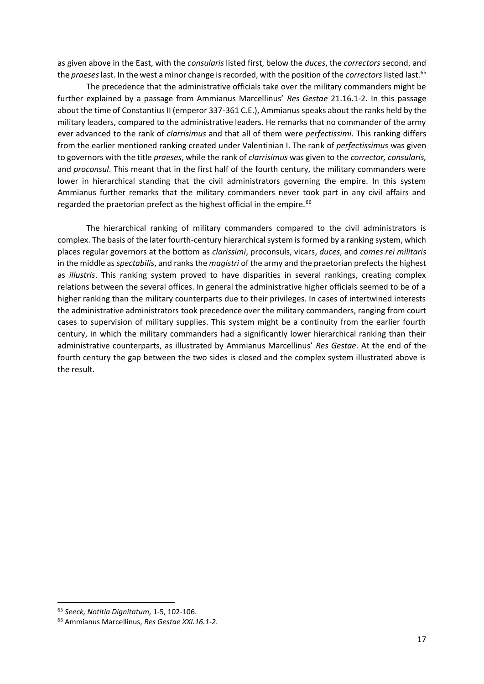as given above in the East, with the *consularis* listed first, below the *duces*, the *correctors* second, and the *praeses* last. In the west a minor change is recorded, with the position of the *correctors* listed last.<sup>65</sup>

The precedence that the administrative officials take over the military commanders might be further explained by a passage from Ammianus Marcellinus' *Res Gestae* 21.16.1-2. In this passage about the time of Constantius II (emperor 337-361 C.E.), Ammianus speaks about the ranks held by the military leaders, compared to the administrative leaders. He remarks that no commander of the army ever advanced to the rank of *clarrisimus* and that all of them were *perfectissimi*. This ranking differs from the earlier mentioned ranking created under Valentinian I. The rank of *perfectissimus* was given to governors with the title *praeses*, while the rank of *clarrisimus* was given to the *corrector, consularis,*  and *proconsul*. This meant that in the first half of the fourth century, the military commanders were lower in hierarchical standing that the civil administrators governing the empire. In this system Ammianus further remarks that the military commanders never took part in any civil affairs and regarded the praetorian prefect as the highest official in the empire.<sup>66</sup>

The hierarchical ranking of military commanders compared to the civil administrators is complex. The basis of the later fourth-century hierarchical system is formed by a ranking system, which places regular governors at the bottom as *clarissimi*, proconsuls, vicars, *duces*, and *comes rei militaris*  in the middle as *spectabilis*, and ranks the *magistri* of the army and the praetorian prefects the highest as *illustris*. This ranking system proved to have disparities in several rankings, creating complex relations between the several offices. In general the administrative higher officials seemed to be of a higher ranking than the military counterparts due to their privileges. In cases of intertwined interests the administrative administrators took precedence over the military commanders, ranging from court cases to supervision of military supplies. This system might be a continuity from the earlier fourth century, in which the military commanders had a significantly lower hierarchical ranking than their administrative counterparts, as illustrated by Ammianus Marcellinus' *Res Gestae*. At the end of the fourth century the gap between the two sides is closed and the complex system illustrated above is the result.

<sup>65</sup> *Seeck, Notitia Dignitatum,* 1-5, 102-106.

<sup>66</sup> Ammianus Marcellinus, *Res Gestae XXI.16.1-2*.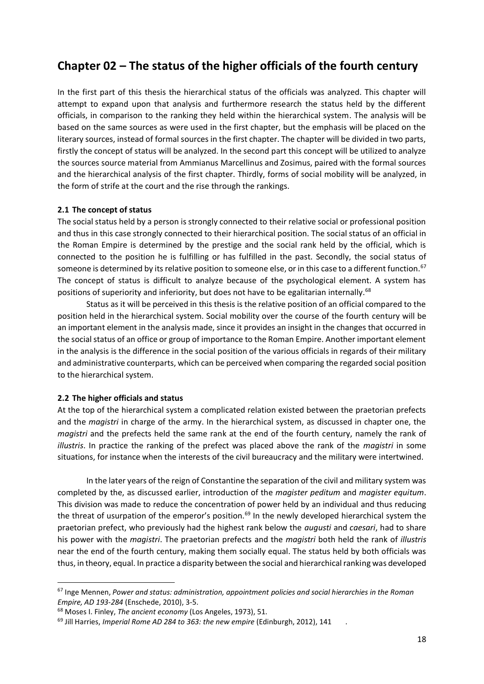## **Chapter 02 – The status of the higher officials of the fourth century**

In the first part of this thesis the hierarchical status of the officials was analyzed. This chapter will attempt to expand upon that analysis and furthermore research the status held by the different officials, in comparison to the ranking they held within the hierarchical system. The analysis will be based on the same sources as were used in the first chapter, but the emphasis will be placed on the literary sources, instead of formal sources in the first chapter. The chapter will be divided in two parts, firstly the concept of status will be analyzed. In the second part this concept will be utilized to analyze the sources source material from Ammianus Marcellinus and Zosimus, paired with the formal sources and the hierarchical analysis of the first chapter. Thirdly, forms of social mobility will be analyzed, in the form of strife at the court and the rise through the rankings.

### **2.1 The concept of status**

The social status held by a person is strongly connected to their relative social or professional position and thus in this case strongly connected to their hierarchical position. The social status of an official in the Roman Empire is determined by the prestige and the social rank held by the official, which is connected to the position he is fulfilling or has fulfilled in the past. Secondly, the social status of someone is determined by its relative position to someone else, or in this case to a different function.<sup>67</sup> The concept of status is difficult to analyze because of the psychological element. A system has positions of superiority and inferiority, but does not have to be egalitarian internally.<sup>68</sup>

Status as it will be perceived in this thesis is the relative position of an official compared to the position held in the hierarchical system. Social mobility over the course of the fourth century will be an important element in the analysis made, since it provides an insight in the changes that occurred in the social status of an office or group of importance to the Roman Empire. Another important element in the analysis is the difference in the social position of the various officials in regards of their military and administrative counterparts, which can be perceived when comparing the regarded social position to the hierarchical system.

### **2.2 The higher officials and status**

 $\overline{a}$ 

At the top of the hierarchical system a complicated relation existed between the praetorian prefects and the *magistri* in charge of the army. In the hierarchical system, as discussed in chapter one, the *magistri* and the prefects held the same rank at the end of the fourth century, namely the rank of *illustris*. In practice the ranking of the prefect was placed above the rank of the *magistri* in some situations, for instance when the interests of the civil bureaucracy and the military were intertwined.

In the later years of the reign of Constantine the separation of the civil and military system was completed by the, as discussed earlier, introduction of the *magister peditum* and *magister equitum*. This division was made to reduce the concentration of power held by an individual and thus reducing the threat of usurpation of the emperor's position.<sup>69</sup> In the newly developed hierarchical system the praetorian prefect, who previously had the highest rank below the *augusti* and *caesari*, had to share his power with the *magistri*. The praetorian prefects and the *magistri* both held the rank of *illustris* near the end of the fourth century, making them socially equal. The status held by both officials was thus, in theory, equal. In practice a disparity between the social and hierarchical ranking was developed

<sup>67</sup> Inge Mennen, *Power and status: administration, appointment policies and social hierarchies in the Roman Empire, AD 193-284* (Enschede, 2010), 3-5.

<sup>68</sup> Moses I. Finley, *The ancient economy* (Los Angeles, 1973), 51.

<sup>&</sup>lt;sup>69</sup> Jill Harries, *Imperial Rome AD 284 to 363: the new empire* (Edinburgh, 2012), 141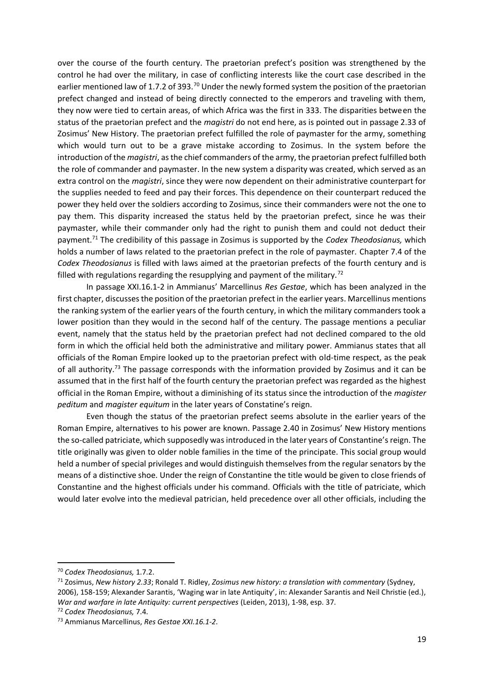over the course of the fourth century. The praetorian prefect's position was strengthened by the control he had over the military, in case of conflicting interests like the court case described in the earlier mentioned law of 1.7.2 of 393.<sup>70</sup> Under the newly formed system the position of the praetorian prefect changed and instead of being directly connected to the emperors and traveling with them, they now were tied to certain areas, of which Africa was the first in 333. The disparities between the status of the praetorian prefect and the *magistri* do not end here, as is pointed out in passage 2.33 of Zosimus' New History. The praetorian prefect fulfilled the role of paymaster for the army, something which would turn out to be a grave mistake according to Zosimus. In the system before the introduction of the *magistri*, as the chief commanders of the army, the praetorian prefect fulfilled both the role of commander and paymaster. In the new system a disparity was created, which served as an extra control on the *magistri*, since they were now dependent on their administrative counterpart for the supplies needed to feed and pay their forces. This dependence on their counterpart reduced the power they held over the soldiers according to Zosimus, since their commanders were not the one to pay them. This disparity increased the status held by the praetorian prefect, since he was their paymaster, while their commander only had the right to punish them and could not deduct their payment.<sup>71</sup> The credibility of this passage in Zosimus is supported by the *Codex Theodosianus,* which holds a number of laws related to the praetorian prefect in the role of paymaster. Chapter 7.4 of the *Codex Theodosianus* is filled with laws aimed at the praetorian prefects of the fourth century and is filled with regulations regarding the resupplying and payment of the military.<sup>72</sup>

In passage XXI.16.1-2 in Ammianus' Marcellinus *Res Gestae*, which has been analyzed in the first chapter, discusses the position of the praetorian prefect in the earlier years. Marcellinus mentions the ranking system of the earlier years of the fourth century, in which the military commanders took a lower position than they would in the second half of the century. The passage mentions a peculiar event, namely that the status held by the praetorian prefect had not declined compared to the old form in which the official held both the administrative and military power. Ammianus states that all officials of the Roman Empire looked up to the praetorian prefect with old-time respect, as the peak of all authority.<sup>73</sup> The passage corresponds with the information provided by Zosimus and it can be assumed that in the first half of the fourth century the praetorian prefect was regarded as the highest official in the Roman Empire, without a diminishing of its status since the introduction of the *magister peditum* and *magister equitum* in the later years of Constatine's reign.

Even though the status of the praetorian prefect seems absolute in the earlier years of the Roman Empire, alternatives to his power are known. Passage 2.40 in Zosimus' New History mentions the so-called patriciate, which supposedly was introduced in the later years of Constantine's reign. The title originally was given to older noble families in the time of the principate. This social group would held a number of special privileges and would distinguish themselves from the regular senators by the means of a distinctive shoe. Under the reign of Constantine the title would be given to close friends of Constantine and the highest officials under his command. Officials with the title of patriciate, which would later evolve into the medieval patrician, held precedence over all other officials, including the

<sup>70</sup> *Codex Theodosianus,* 1.7.2.

<sup>71</sup> Zosimus, *New history 2.33*; Ronald T. Ridley, *Zosimus new history: a translation with commentary* (Sydney, 2006), 158-159; Alexander Sarantis, 'Waging war in late Antiquity', in: Alexander Sarantis and Neil Christie (ed.), *War and warfare in late Antiquity: current perspectives* (Leiden, 2013), 1-98, esp. 37.

<sup>72</sup> *Codex Theodosianus,* 7.4.

<sup>73</sup> Ammianus Marcellinus, *Res Gestae XXI.16.1-2*.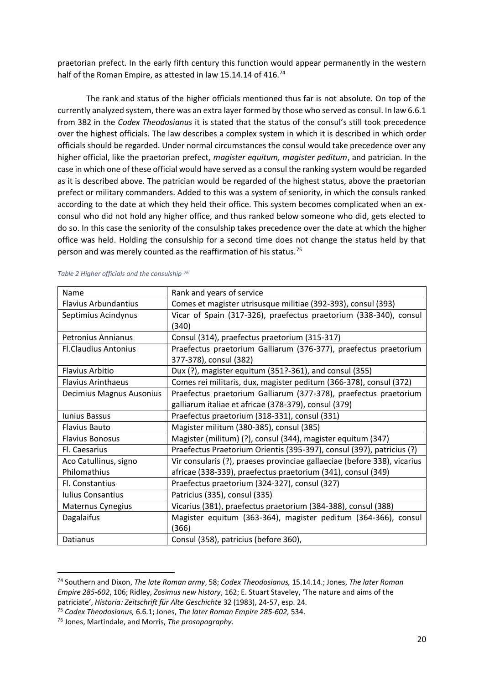praetorian prefect. In the early fifth century this function would appear permanently in the western half of the Roman Empire, as attested in law 15.14.14 of 416.<sup>74</sup>

The rank and status of the higher officials mentioned thus far is not absolute. On top of the currently analyzed system, there was an extra layer formed by those who served as consul. In law 6.6.1 from 382 in the *Codex Theodosianus* it is stated that the status of the consul's still took precedence over the highest officials. The law describes a complex system in which it is described in which order officials should be regarded. Under normal circumstances the consul would take precedence over any higher official, like the praetorian prefect, *magister equitum, magister peditum*, and patrician. In the case in which one of these official would have served as a consul the ranking system would be regarded as it is described above. The patrician would be regarded of the highest status, above the praetorian prefect or military commanders. Added to this was a system of seniority, in which the consuls ranked according to the date at which they held their office. This system becomes complicated when an exconsul who did not hold any higher office, and thus ranked below someone who did, gets elected to do so. In this case the seniority of the consulship takes precedence over the date at which the higher office was held. Holding the consulship for a second time does not change the status held by that person and was merely counted as the reaffirmation of his status.<sup>75</sup>

| Name                        | Rank and years of service                                                |
|-----------------------------|--------------------------------------------------------------------------|
| <b>Flavius Arbundantius</b> | Comes et magister utrisusque militiae (392-393), consul (393)            |
| Septimius Acindynus         | Vicar of Spain (317-326), praefectus praetorium (338-340), consul        |
|                             | (340)                                                                    |
| <b>Petronius Annianus</b>   | Consul (314), praefectus praetorium (315-317)                            |
| <b>Fl.Claudius Antonius</b> | Praefectus praetorium Galliarum (376-377), praefectus praetorium         |
|                             | 377-378), consul (382)                                                   |
| <b>Flavius Arbitio</b>      | Dux (?), magister equitum (351?-361), and consul (355)                   |
| <b>Flavius Arinthaeus</b>   | Comes rei militaris, dux, magister peditum (366-378), consul (372)       |
| Decimius Magnus Ausonius    | Praefectus praetorium Galliarum (377-378), praefectus praetorium         |
|                             | galliarum italiae et africae (378-379), consul (379)                     |
| <b>Iunius Bassus</b>        | Praefectus praetorium (318-331), consul (331)                            |
| <b>Flavius Bauto</b>        | Magister militum (380-385), consul (385)                                 |
| <b>Flavius Bonosus</b>      | Magister (militum) (?), consul (344), magister equitum (347)             |
| Fl. Caesarius               | Praefectus Praetorium Orientis (395-397), consul (397), patricius (?)    |
| Aco Catullinus, signo       | Vir consularis (?), praeses provinciae gallaeciae (before 338), vicarius |
| Philomathius                | africae (338-339), praefectus praetorium (341), consul (349)             |
| <b>Fl. Constantius</b>      | Praefectus praetorium (324-327), consul (327)                            |
| <b>Iulius Consantius</b>    | Patricius (335), consul (335)                                            |
| Maternus Cynegius           | Vicarius (381), praefectus praetorium (384-388), consul (388)            |
| Dagalaifus                  | Magister equitum (363-364), magister peditum (364-366), consul           |
|                             | (366)                                                                    |
| Datianus                    | Consul (358), patricius (before 360),                                    |

*Table 2 Higher officials and the consulship <sup>76</sup>*

<sup>74</sup> Southern and Dixon, *The late Roman army*, 58; *Codex Theodosianus,* 15.14.14.; Jones, *The later Roman Empire 285-602*, 106; Ridley, *Zosimus new history*, 162; E. Stuart Staveley, 'The nature and aims of the patriciate', *Historia: Zeitschrift für Alte Geschichte* 32 (1983), 24-57, esp. 24.

<sup>75</sup> *Codex Theodosianus,* 6.6.1; Jones, *The later Roman Empire 285-602*, 534.

<sup>76</sup> Jones, Martindale, and Morris, *The prosopography.*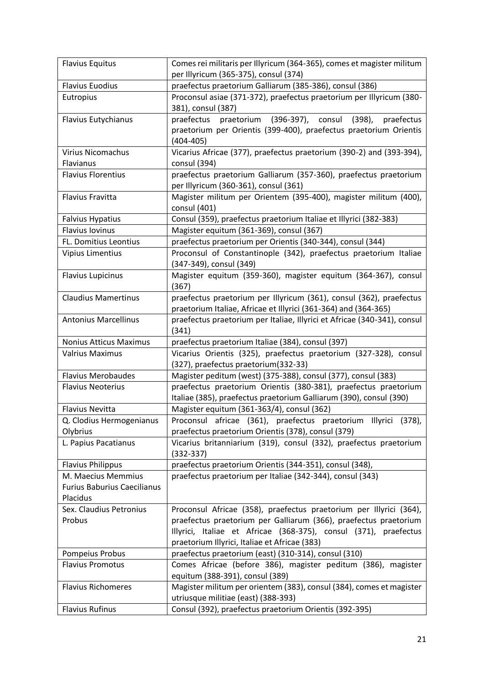| <b>Flavius Equitus</b>             | Comes rei militaris per Illyricum (364-365), comes et magister militum<br>per Illyricum (365-375), consul (374) |
|------------------------------------|-----------------------------------------------------------------------------------------------------------------|
| <b>Flavius Euodius</b>             | praefectus praetorium Galliarum (385-386), consul (386)                                                         |
| Eutropius                          | Proconsul asiae (371-372), praefectus praetorium per Illyricum (380-                                            |
|                                    | 381), consul (387)                                                                                              |
| <b>Flavius Eutychianus</b>         | $(396-397)$ ,<br>$(398)$ ,<br>praefectus<br>praetorium<br>consul<br>praefectus                                  |
|                                    | praetorium per Orientis (399-400), praefectus praetorium Orientis                                               |
|                                    | $(404 - 405)$                                                                                                   |
| Virius Nicomachus                  | Vicarius Africae (377), praefectus praetorium (390-2) and (393-394),                                            |
| Flavianus                          | consul (394)                                                                                                    |
| <b>Flavius Florentius</b>          | praefectus praetorium Galliarum (357-360), praefectus praetorium                                                |
|                                    | per Illyricum (360-361), consul (361)                                                                           |
| Flavius Fravitta                   | Magister militum per Orientem (395-400), magister militum (400),                                                |
|                                    | consul (401)                                                                                                    |
| <b>Falvius Hypatius</b>            | Consul (359), praefectus praetorium Italiae et Illyrici (382-383)                                               |
| <b>Flavius Iovinus</b>             | Magister equitum (361-369), consul (367)                                                                        |
| <b>FL. Domitius Leontius</b>       | praefectus praetorium per Orientis (340-344), consul (344)                                                      |
| <b>Vipius Limentius</b>            | Proconsul of Constantinople (342), praefectus praetorium Italiae                                                |
|                                    | (347-349), consul (349)                                                                                         |
| <b>Flavius Lupicinus</b>           | Magister equitum (359-360), magister equitum (364-367), consul                                                  |
|                                    | (367)                                                                                                           |
| <b>Claudius Mamertinus</b>         | praefectus praetorium per Illyricum (361), consul (362), praefectus                                             |
|                                    | praetorium Italiae, Africae et Illyrici (361-364) and (364-365)                                                 |
| <b>Antonius Marcellinus</b>        | praefectus praetorium per Italiae, Illyrici et Africae (340-341), consul                                        |
|                                    | (341)                                                                                                           |
| <b>Nonius Atticus Maximus</b>      | praefectus praetorium Italiae (384), consul (397)                                                               |
| <b>Valrius Maximus</b>             | Vicarius Orientis (325), praefectus praetorium (327-328), consul                                                |
|                                    | (327), praefectus praetorium(332-33)                                                                            |
| <b>Flavius Merobaudes</b>          | Magister peditum (west) (375-388), consul (377), consul (383)                                                   |
| <b>Flavius Neoterius</b>           | praefectus praetorium Orientis (380-381), praefectus praetorium                                                 |
|                                    | Italiae (385), praefectus praetorium Galliarum (390), consul (390)                                              |
| <b>Flavius Nevitta</b>             | Magister equitum (361-363/4), consul (362)                                                                      |
| Q. Clodius Hermogenianus           | Proconsul africae (361), praefectus praetorium Illyrici (378),                                                  |
| Olybrius                           | praefectus praetorium Orientis (378), consul (379)                                                              |
| L. Papius Pacatianus               | Vicarius britanniarium (319), consul (332), praefectus praetorium                                               |
|                                    | $(332 - 337)$                                                                                                   |
| <b>Flavius Philippus</b>           | praefectus praetorium Orientis (344-351), consul (348),                                                         |
| M. Maecius Memmius                 | praefectus praetorium per Italiae (342-344), consul (343)                                                       |
| <b>Furius Baburius Caecilianus</b> |                                                                                                                 |
| Placidus                           |                                                                                                                 |
| Sex. Claudius Petronius            | Proconsul Africae (358), praefectus praetorium per Illyrici (364),                                              |
| Probus                             | praefectus praetorium per Galliarum (366), praefectus praetorium                                                |
|                                    | Illyrici, Italiae et Africae (368-375), consul (371), praefectus                                                |
|                                    | praetorium Illyrici, Italiae et Africae (383)                                                                   |
| Pompeius Probus                    | praefectus praetorium (east) (310-314), consul (310)                                                            |
| <b>Flavius Promotus</b>            | Comes Africae (before 386), magister peditum (386), magister                                                    |
| <b>Flavius Richomeres</b>          | equitum (388-391), consul (389)<br>Magister militum per orientem (383), consul (384), comes et magister         |
|                                    | utriusque militiae (east) (388-393)                                                                             |
| <b>Flavius Rufinus</b>             | Consul (392), praefectus praetorium Orientis (392-395)                                                          |
|                                    |                                                                                                                 |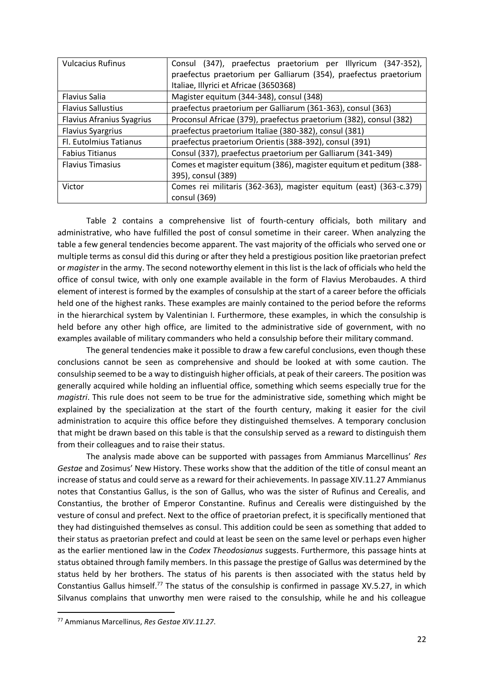| <b>Vulcacius Rufinus</b>         | Consul (347), praefectus praetorium per Illyricum (347-352),       |
|----------------------------------|--------------------------------------------------------------------|
|                                  | praefectus praetorium per Galliarum (354), praefectus praetorium   |
|                                  | Italiae, Illyrici et Africae (3650368)                             |
| <b>Flavius Salia</b>             | Magister equitum (344-348), consul (348)                           |
| <b>Flavius Sallustius</b>        | praefectus praetorium per Galliarum (361-363), consul (363)        |
| <b>Flavius Afranius Syagrius</b> | Proconsul Africae (379), praefectus praetorium (382), consul (382) |
| <b>Flavius Syargrius</b>         | praefectus praetorium Italiae (380-382), consul (381)              |
| Fl. Eutolmius Tatianus           | praefectus praetorium Orientis (388-392), consul (391)             |
| <b>Fabius Titianus</b>           | Consul (337), praefectus praetorium per Galliarum (341-349)        |
| <b>Flavius Timasius</b>          | Comes et magister equitum (386), magister equitum et peditum (388- |
|                                  | 395), consul (389)                                                 |
| Victor                           | Comes rei militaris (362-363), magister equitum (east) (363-c.379) |
|                                  | consul (369)                                                       |

Table 2 contains a comprehensive list of fourth-century officials, both military and administrative, who have fulfilled the post of consul sometime in their career. When analyzing the table a few general tendencies become apparent. The vast majority of the officials who served one or multiple terms as consul did this during or after they held a prestigious position like praetorian prefect or *magister* in the army. The second noteworthy element in this list is the lack of officials who held the office of consul twice, with only one example available in the form of Flavius Merobaudes. A third element of interest is formed by the examples of consulship at the start of a career before the officials held one of the highest ranks. These examples are mainly contained to the period before the reforms in the hierarchical system by Valentinian I. Furthermore, these examples, in which the consulship is held before any other high office, are limited to the administrative side of government, with no examples available of military commanders who held a consulship before their military command.

The general tendencies make it possible to draw a few careful conclusions, even though these conclusions cannot be seen as comprehensive and should be looked at with some caution. The consulship seemed to be a way to distinguish higher officials, at peak of their careers. The position was generally acquired while holding an influential office, something which seems especially true for the *magistri*. This rule does not seem to be true for the administrative side, something which might be explained by the specialization at the start of the fourth century, making it easier for the civil administration to acquire this office before they distinguished themselves. A temporary conclusion that might be drawn based on this table is that the consulship served as a reward to distinguish them from their colleagues and to raise their status.

The analysis made above can be supported with passages from Ammianus Marcellinus' *Res Gestae* and Zosimus' New History. These works show that the addition of the title of consul meant an increase of status and could serve as a reward for their achievements. In passage XIV.11.27 Ammianus notes that Constantius Gallus, is the son of Gallus, who was the sister of Rufinus and Cerealis, and Constantius, the brother of Emperor Constantine. Rufinus and Cerealis were distinguished by the vesture of consul and prefect. Next to the office of praetorian prefect, it is specifically mentioned that they had distinguished themselves as consul. This addition could be seen as something that added to their status as praetorian prefect and could at least be seen on the same level or perhaps even higher as the earlier mentioned law in the *Codex Theodosianus* suggests. Furthermore, this passage hints at status obtained through family members. In this passage the prestige of Gallus was determined by the status held by her brothers. The status of his parents is then associated with the status held by Constantius Gallus himself.<sup>77</sup> The status of the consulship is confirmed in passage XV.5.27, in which Silvanus complains that unworthy men were raised to the consulship, while he and his colleague

<sup>77</sup> Ammianus Marcellinus, *Res Gestae XIV.11.27*.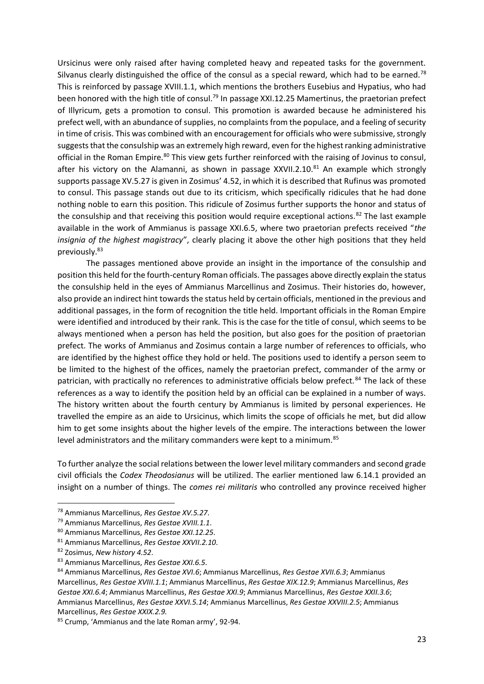Ursicinus were only raised after having completed heavy and repeated tasks for the government. Silvanus clearly distinguished the office of the consul as a special reward, which had to be earned.<sup>78</sup> This is reinforced by passage XVIII.1.1, which mentions the brothers Eusebius and Hypatius, who had been honored with the high title of consul.<sup>79</sup> In passage XXI.12.25 Mamertinus, the praetorian prefect of Illyricum, gets a promotion to consul. This promotion is awarded because he administered his prefect well, with an abundance of supplies, no complaints from the populace, and a feeling of security in time of crisis. This was combined with an encouragement for officials who were submissive, strongly suggests that the consulship was an extremely high reward, even for the highest ranking administrative official in the Roman Empire.<sup>80</sup> This view gets further reinforced with the raising of Jovinus to consul, after his victory on the Alamanni, as shown in passage XXVII.2.10. $^{81}$  An example which strongly supports passage XV.5.27 is given in Zosimus' 4.52, in which it is described that Rufinus was promoted to consul. This passage stands out due to its criticism, which specifically ridicules that he had done nothing noble to earn this position. This ridicule of Zosimus further supports the honor and status of the consulship and that receiving this position would require exceptional actions. $82$  The last example available in the work of Ammianus is passage XXI.6.5, where two praetorian prefects received "*the insignia of the highest magistracy*", clearly placing it above the other high positions that they held previously.<sup>83</sup>

The passages mentioned above provide an insight in the importance of the consulship and position this held for the fourth-century Roman officials. The passages above directly explain the status the consulship held in the eyes of Ammianus Marcellinus and Zosimus. Their histories do, however, also provide an indirect hint towards the status held by certain officials, mentioned in the previous and additional passages, in the form of recognition the title held. Important officials in the Roman Empire were identified and introduced by their rank. This is the case for the title of consul, which seems to be always mentioned when a person has held the position, but also goes for the position of praetorian prefect. The works of Ammianus and Zosimus contain a large number of references to officials, who are identified by the highest office they hold or held. The positions used to identify a person seem to be limited to the highest of the offices, namely the praetorian prefect, commander of the army or patrician, with practically no references to administrative officials below prefect.<sup>84</sup> The lack of these references as a way to identify the position held by an official can be explained in a number of ways. The history written about the fourth century by Ammianus is limited by personal experiences. He travelled the empire as an aide to Ursicinus, which limits the scope of officials he met, but did allow him to get some insights about the higher levels of the empire. The interactions between the lower level administrators and the military commanders were kept to a minimum.<sup>85</sup>

To further analyze the social relations between the lower level military commanders and second grade civil officials the *Codex Theodosianus* will be utilized. The earlier mentioned law 6.14.1 provided an insight on a number of things. The *comes rei militaris* who controlled any province received higher

<sup>78</sup> Ammianus Marcellinus, *Res Gestae XV.5.27*.

<sup>79</sup> Ammianus Marcellinus, *Res Gestae XVIII.1.1*.

<sup>80</sup> Ammianus Marcellinus, *Res Gestae XXI.12.25*.

<sup>81</sup> Ammianus Marcellinus, *Res Gestae XXVII.2.10*.

<sup>82</sup> Zosimus, *New history 4.52*.

<sup>83</sup> Ammianus Marcellinus, *Res Gestae XXI.6.5*.

<sup>84</sup> Ammianus Marcellinus, *Res Gestae XVI.6*; Ammianus Marcellinus, *Res Gestae XVII.6.3*; Ammianus Marcellinus, *Res Gestae XVIII.1.1*; Ammianus Marcellinus, *Res Gestae XIX.12.9*; Ammianus Marcellinus, *Res Gestae XXI.6.4*; Ammianus Marcellinus, *Res Gestae XXI.9*; Ammianus Marcellinus, *Res Gestae XXII.3.6*; Ammianus Marcellinus, *Res Gestae XXVI.5.14*; Ammianus Marcellinus, *Res Gestae XXVIII.2.5*; Ammianus Marcellinus, *Res Gestae XXIX.2.9.*

<sup>85</sup> Crump, 'Ammianus and the late Roman army', 92-94.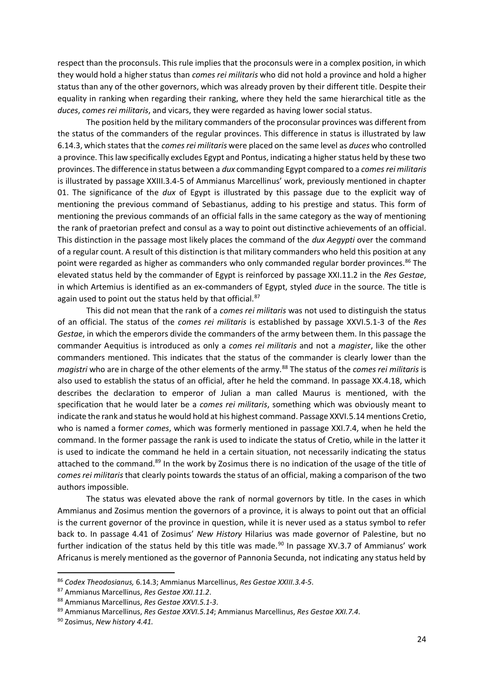respect than the proconsuls. This rule implies that the proconsuls were in a complex position, in which they would hold a higher status than *comes rei militaris* who did not hold a province and hold a higher status than any of the other governors, which was already proven by their different title. Despite their equality in ranking when regarding their ranking, where they held the same hierarchical title as the *duces*, *comes rei militaris*, and vicars, they were regarded as having lower social status.

The position held by the military commanders of the proconsular provinces was different from the status of the commanders of the regular provinces. This difference in status is illustrated by law 6.14.3, which states that the *comes rei militaris* were placed on the same level as *duces* who controlled a province. This law specifically excludes Egypt and Pontus, indicating a higher status held by these two provinces. The difference in status between a *dux* commanding Egypt compared to a *comes rei militaris* is illustrated by passage XXIII.3.4-5 of Ammianus Marcellinus' work, previously mentioned in chapter 01. The significance of the *dux* of Egypt is illustrated by this passage due to the explicit way of mentioning the previous command of Sebastianus, adding to his prestige and status. This form of mentioning the previous commands of an official falls in the same category as the way of mentioning the rank of praetorian prefect and consul as a way to point out distinctive achievements of an official. This distinction in the passage most likely places the command of the *dux Aegypti* over the command of a regular count. A result of this distinction is that military commanders who held this position at any point were regarded as higher as commanders who only commanded regular border provinces.<sup>86</sup> The elevated status held by the commander of Egypt is reinforced by passage XXI.11.2 in the *Res Gestae*, in which Artemius is identified as an ex-commanders of Egypt, styled *duce* in the source. The title is again used to point out the status held by that official.<sup>87</sup>

This did not mean that the rank of a *comes rei militaris* was not used to distinguish the status of an official. The status of the *comes rei militaris* is established by passage XXVI.5.1-3 of the *Res Gestae*, in which the emperors divide the commanders of the army between them. In this passage the commander Aequitius is introduced as only a *comes rei militaris* and not a *magister*, like the other commanders mentioned. This indicates that the status of the commander is clearly lower than the *magistri* who are in charge of the other elements of the army.<sup>88</sup> The status of the *comes rei militaris* is also used to establish the status of an official, after he held the command. In passage XX.4.18, which describes the declaration to emperor of Julian a man called Maurus is mentioned, with the specification that he would later be a *comes rei militaris*, something which was obviously meant to indicate the rank and status he would hold at his highest command. Passage XXVI.5.14 mentions Cretio, who is named a former *comes*, which was formerly mentioned in passage XXI.7.4, when he held the command. In the former passage the rank is used to indicate the status of Cretio, while in the latter it is used to indicate the command he held in a certain situation, not necessarily indicating the status attached to the command.<sup>89</sup> In the work by Zosimus there is no indication of the usage of the title of *comes rei militaris* that clearly points towards the status of an official, making a comparison of the two authors impossible.

The status was elevated above the rank of normal governors by title. In the cases in which Ammianus and Zosimus mention the governors of a province, it is always to point out that an official is the current governor of the province in question, while it is never used as a status symbol to refer back to. In passage 4.41 of Zosimus' *New History* Hilarius was made governor of Palestine, but no further indication of the status held by this title was made.<sup>90</sup> In passage XV.3.7 of Ammianus' work Africanus is merely mentioned as the governor of Pannonia Secunda, not indicating any status held by

<sup>86</sup> *Codex Theodosianus,* 6.14.3; Ammianus Marcellinus, *Res Gestae XXIII.3.4-5*.

<sup>87</sup> Ammianus Marcellinus, *Res Gestae XXI.11.2*.

<sup>88</sup> Ammianus Marcellinus, *Res Gestae XXVI.5.1-3*.

<sup>89</sup> Ammianus Marcellinus, *Res Gestae XXVI.5.14*; Ammianus Marcellinus, *Res Gestae XXI.7.4*.

<sup>90</sup> Zosimus, *New history 4.41.*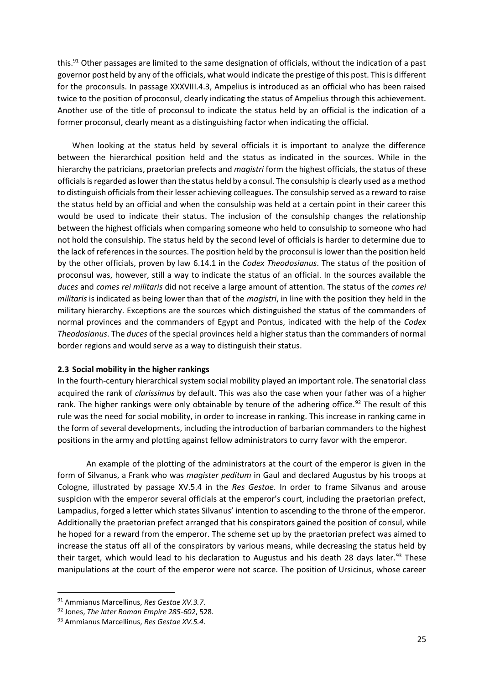this.<sup>91</sup> Other passages are limited to the same designation of officials, without the indication of a past governor post held by any of the officials, what would indicate the prestige of this post. This is different for the proconsuls. In passage XXXVIII.4.3, Ampelius is introduced as an official who has been raised twice to the position of proconsul, clearly indicating the status of Ampelius through this achievement. Another use of the title of proconsul to indicate the status held by an official is the indication of a former proconsul, clearly meant as a distinguishing factor when indicating the official.

When looking at the status held by several officials it is important to analyze the difference between the hierarchical position held and the status as indicated in the sources. While in the hierarchy the patricians, praetorian prefects and *magistri* form the highest officials, the status of these officials is regarded as lower than the status held by a consul. The consulship is clearly used as a method to distinguish officials from their lesser achieving colleagues. The consulship served as a reward to raise the status held by an official and when the consulship was held at a certain point in their career this would be used to indicate their status. The inclusion of the consulship changes the relationship between the highest officials when comparing someone who held to consulship to someone who had not hold the consulship. The status held by the second level of officials is harder to determine due to the lack of references in the sources. The position held by the proconsul is lower than the position held by the other officials, proven by law 6.14.1 in the *Codex Theodosianus*. The status of the position of proconsul was, however, still a way to indicate the status of an official. In the sources available the *duces* and *comes rei militaris* did not receive a large amount of attention. The status of the *comes rei militaris* is indicated as being lower than that of the *magistri*, in line with the position they held in the military hierarchy. Exceptions are the sources which distinguished the status of the commanders of normal provinces and the commanders of Egypt and Pontus, indicated with the help of the *Codex Theodosianus*. The *duces* of the special provinces held a higher status than the commanders of normal border regions and would serve as a way to distinguish their status.

#### **2.3 Social mobility in the higher rankings**

In the fourth-century hierarchical system social mobility played an important role. The senatorial class acquired the rank of *clarissimus* by default. This was also the case when your father was of a higher rank. The higher rankings were only obtainable by tenure of the adhering office.<sup>92</sup> The result of this rule was the need for social mobility, in order to increase in ranking. This increase in ranking came in the form of several developments, including the introduction of barbarian commanders to the highest positions in the army and plotting against fellow administrators to curry favor with the emperor.

An example of the plotting of the administrators at the court of the emperor is given in the form of Silvanus, a Frank who was *magister peditum* in Gaul and declared Augustus by his troops at Cologne, illustrated by passage XV.5.4 in the *Res Gestae*. In order to frame Silvanus and arouse suspicion with the emperor several officials at the emperor's court, including the praetorian prefect, Lampadius, forged a letter which states Silvanus' intention to ascending to the throne of the emperor. Additionally the praetorian prefect arranged that his conspirators gained the position of consul, while he hoped for a reward from the emperor. The scheme set up by the praetorian prefect was aimed to increase the status off all of the conspirators by various means, while decreasing the status held by their target, which would lead to his declaration to Augustus and his death 28 days later.<sup>93</sup> These manipulations at the court of the emperor were not scarce. The position of Ursicinus, whose career

<sup>91</sup> Ammianus Marcellinus, *Res Gestae XV.3.7*.

<sup>92</sup> Jones, *The later Roman Empire 285-602*, 528.

<sup>93</sup> Ammianus Marcellinus, *Res Gestae XV.5.4*.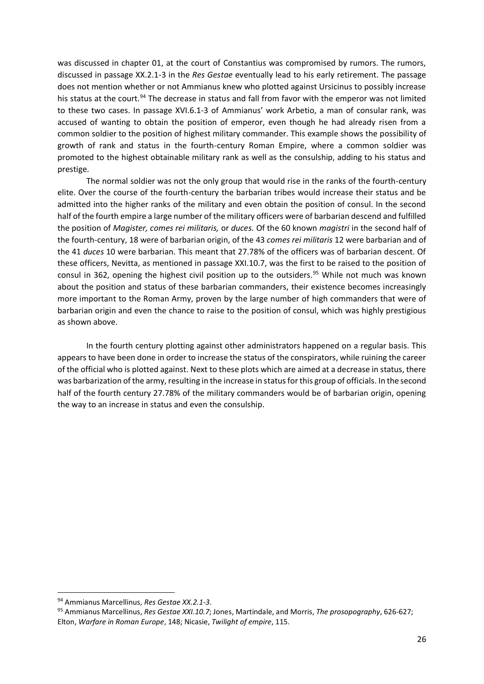was discussed in chapter 01, at the court of Constantius was compromised by rumors. The rumors, discussed in passage XX.2.1-3 in the *Res Gestae* eventually lead to his early retirement. The passage does not mention whether or not Ammianus knew who plotted against Ursicinus to possibly increase his status at the court.<sup>94</sup> The decrease in status and fall from favor with the emperor was not limited to these two cases. In passage XVI.6.1-3 of Ammianus' work Arbetio, a man of consular rank, was accused of wanting to obtain the position of emperor, even though he had already risen from a common soldier to the position of highest military commander. This example shows the possibility of growth of rank and status in the fourth-century Roman Empire, where a common soldier was promoted to the highest obtainable military rank as well as the consulship, adding to his status and prestige.

The normal soldier was not the only group that would rise in the ranks of the fourth-century elite. Over the course of the fourth-century the barbarian tribes would increase their status and be admitted into the higher ranks of the military and even obtain the position of consul. In the second half of the fourth empire a large number of the military officers were of barbarian descend and fulfilled the position of *Magister, comes rei militaris,* or *duces.* Of the 60 known *magistri* in the second half of the fourth-century, 18 were of barbarian origin, of the 43 *comes rei militaris* 12 were barbarian and of the 41 *duces* 10 were barbarian. This meant that 27.78% of the officers was of barbarian descent. Of these officers, Nevitta, as mentioned in passage XXI.10.7, was the first to be raised to the position of consul in 362, opening the highest civil position up to the outsiders.<sup>95</sup> While not much was known about the position and status of these barbarian commanders, their existence becomes increasingly more important to the Roman Army, proven by the large number of high commanders that were of barbarian origin and even the chance to raise to the position of consul, which was highly prestigious as shown above.

In the fourth century plotting against other administrators happened on a regular basis. This appears to have been done in order to increase the status of the conspirators, while ruining the career of the official who is plotted against. Next to these plots which are aimed at a decrease in status, there was barbarization of the army, resulting in the increase in status for this group of officials. In the second half of the fourth century 27.78% of the military commanders would be of barbarian origin, opening the way to an increase in status and even the consulship.

<sup>94</sup> Ammianus Marcellinus, *Res Gestae XX.2.1-3*.

<sup>95</sup> Ammianus Marcellinus, *Res Gestae XXI.10.7*; Jones, Martindale, and Morris, *The prosopography*, 626-627; Elton, *Warfare in Roman Europe*, 148; Nicasie, *Twilight of empire*, 115.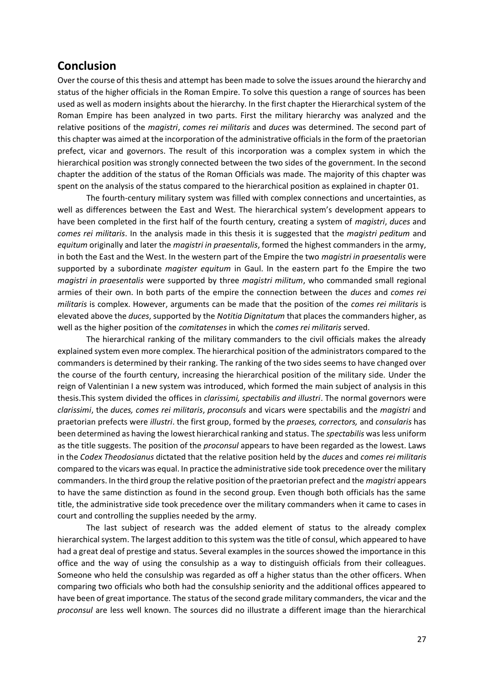### **Conclusion**

Over the course of this thesis and attempt has been made to solve the issues around the hierarchy and status of the higher officials in the Roman Empire. To solve this question a range of sources has been used as well as modern insights about the hierarchy. In the first chapter the Hierarchical system of the Roman Empire has been analyzed in two parts. First the military hierarchy was analyzed and the relative positions of the *magistri*, *comes rei militaris* and *duces* was determined. The second part of this chapter was aimed at the incorporation of the administrative officials in the form of the praetorian prefect, vicar and governors. The result of this incorporation was a complex system in which the hierarchical position was strongly connected between the two sides of the government. In the second chapter the addition of the status of the Roman Officials was made. The majority of this chapter was spent on the analysis of the status compared to the hierarchical position as explained in chapter 01.

The fourth-century military system was filled with complex connections and uncertainties, as well as differences between the East and West. The hierarchical system's development appears to have been completed in the first half of the fourth century, creating a system of *magistri*, *duces* and *comes rei militaris*. In the analysis made in this thesis it is suggested that the *magistri peditum* and *equitum* originally and later the *magistri in praesentalis*, formed the highest commanders in the army, in both the East and the West. In the western part of the Empire the two *magistri in praesentalis* were supported by a subordinate *magister equitum* in Gaul. In the eastern part fo the Empire the two *magistri in praesentalis* were supported by three *magistri militum*, who commanded small regional armies of their own. In both parts of the empire the connection between the *duces* and *comes rei militaris* is complex. However, arguments can be made that the position of the *comes rei militaris* is elevated above the *duces*, supported by the *Notitia Dignitatum* that places the commanders higher, as well as the higher position of the *comitatenses* in which the *comes rei militaris* served.

The hierarchical ranking of the military commanders to the civil officials makes the already explained system even more complex. The hierarchical position of the administrators compared to the commanders is determined by their ranking. The ranking of the two sides seems to have changed over the course of the fourth century, increasing the hierarchical position of the military side. Under the reign of Valentinian I a new system was introduced, which formed the main subject of analysis in this thesis.This system divided the offices in *clarissimi, spectabilis and illustri*. The normal governors were *clarissimi*, the *duces, comes rei militaris*, *proconsuls* and vicars were spectabilis and the *magistri* and praetorian prefects were *illustri*. the first group, formed by the *praeses, correctors,* and *consularis* has been determined as having the lowest hierarchical ranking and status. The *spectabilis* was less uniform as the title suggests. The position of the *proconsul* appears to have been regarded as the lowest. Laws in the *Codex Theodosianus* dictated that the relative position held by the *duces* and *comes rei militaris* compared to the vicars was equal. In practice the administrative side took precedence over the military commanders. In the third group the relative position of the praetorian prefect and the *magistri* appears to have the same distinction as found in the second group. Even though both officials has the same title, the administrative side took precedence over the military commanders when it came to cases in court and controlling the supplies needed by the army.

The last subject of research was the added element of status to the already complex hierarchical system. The largest addition to this system was the title of consul, which appeared to have had a great deal of prestige and status. Several examples in the sources showed the importance in this office and the way of using the consulship as a way to distinguish officials from their colleagues. Someone who held the consulship was regarded as off a higher status than the other officers. When comparing two officials who both had the consulship seniority and the additional offices appeared to have been of great importance. The status of the second grade military commanders, the vicar and the *proconsul* are less well known. The sources did no illustrate a different image than the hierarchical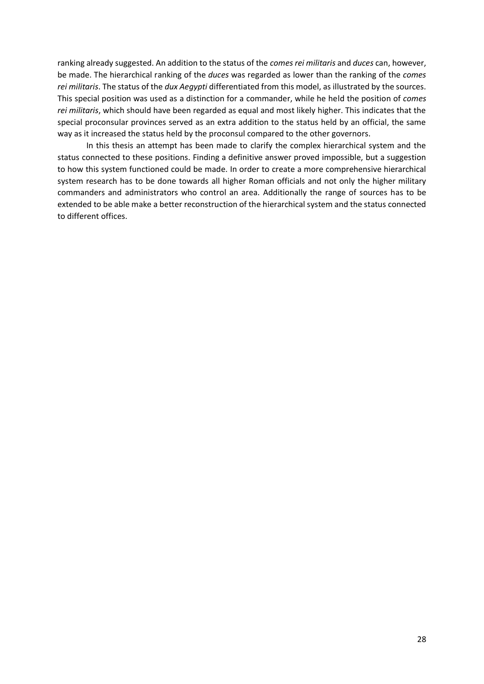ranking already suggested. An addition to the status of the *comes rei militaris* and *duces* can, however, be made. The hierarchical ranking of the *duces* was regarded as lower than the ranking of the *comes rei militaris*. The status of the *dux Aegypti* differentiated from this model, as illustrated by the sources. This special position was used as a distinction for a commander, while he held the position of *comes rei militaris*, which should have been regarded as equal and most likely higher. This indicates that the special proconsular provinces served as an extra addition to the status held by an official, the same way as it increased the status held by the proconsul compared to the other governors.

In this thesis an attempt has been made to clarify the complex hierarchical system and the status connected to these positions. Finding a definitive answer proved impossible, but a suggestion to how this system functioned could be made. In order to create a more comprehensive hierarchical system research has to be done towards all higher Roman officials and not only the higher military commanders and administrators who control an area. Additionally the range of sources has to be extended to be able make a better reconstruction of the hierarchical system and the status connected to different offices.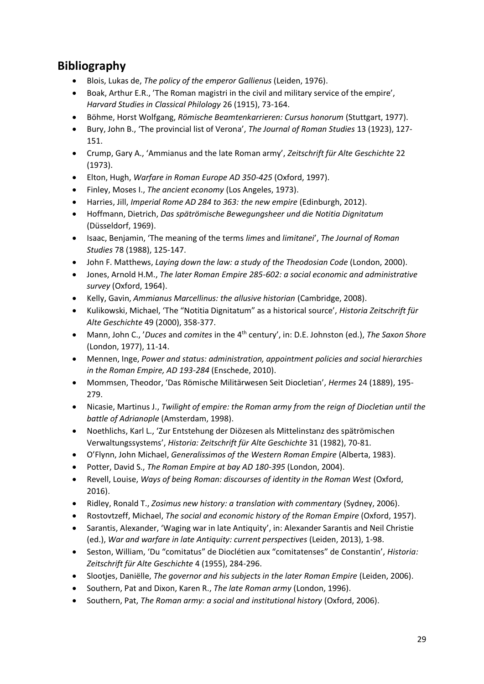# **Bibliography**

- Blois, Lukas de, *The policy of the emperor Gallienus* (Leiden, 1976).
- Boak, Arthur E.R., 'The Roman magistri in the civil and military service of the empire', *Harvard Studies in Classical Philology* 26 (1915), 73-164.
- Böhme, Horst Wolfgang, *Römische Beamtenkarrieren: Cursus honorum* (Stuttgart, 1977).
- Bury, John B., 'The provincial list of Verona', *The Journal of Roman Studies* 13 (1923), 127- 151.
- Crump, Gary A., 'Ammianus and the late Roman army', *Zeitschrift für Alte Geschichte* 22 (1973).
- Elton, Hugh, *Warfare in Roman Europe AD 350-425* (Oxford, 1997).
- Finley, Moses I., *The ancient economy* (Los Angeles, 1973).
- Harries, Jill, *Imperial Rome AD 284 to 363: the new empire* (Edinburgh, 2012).
- Hoffmann, Dietrich, *Das spätrömische Bewegungsheer und die Notitia Dignitatum* (Düsseldorf, 1969).
- Isaac, Benjamin, 'The meaning of the terms *limes* and *limitanei*', *The Journal of Roman Studies* 78 (1988), 125-147.
- John F. Matthews, *Laying down the law: a study of the Theodosian Code* (London, 2000).
- Jones, Arnold H.M., *The later Roman Empire 285-602: a social economic and administrative survey* (Oxford, 1964).
- Kelly, Gavin, *Ammianus Marcellinus: the allusive historian* (Cambridge, 2008).
- Kulikowski, Michael, 'The "Notitia Dignitatum" as a historical source', *Historia Zeitschrift für Alte Geschichte* 49 (2000), 358-377.
- Mann, John C., '*Duces* and *comites* in the 4th century', in: D.E. Johnston (ed.), *The Saxon Shore* (London, 1977), 11-14.
- Mennen, Inge, *Power and status: administration, appointment policies and social hierarchies in the Roman Empire, AD 193-284* (Enschede, 2010).
- Mommsen, Theodor, 'Das Römische Militärwesen Seit Diocletian', *Hermes* 24 (1889), 195- 279.
- Nicasie, Martinus J., *Twilight of empire: the Roman army from the reign of Diocletian until the battle of Adrianople* (Amsterdam, 1998).
- Noethlichs, Karl L., 'Zur Entstehung der Diözesen als Mittelinstanz des spätrömischen Verwaltungssystems', *Historia: Zeitschrift für Alte Geschichte* 31 (1982), 70-81.
- O'Flynn, John Michael, *Generalissimos of the Western Roman Empire* (Alberta, 1983).
- Potter, David S., *The Roman Empire at bay AD 180-395* (London, 2004).
- Revell, Louise, *Ways of being Roman: discourses of identity in the Roman West* (Oxford, 2016).
- Ridley, Ronald T., *Zosimus new history: a translation with commentary* (Sydney, 2006).
- **•** Rostovtzeff, Michael, *The social and economic history of the Roman Empire (Oxford, 1957).*
- Sarantis, Alexander, 'Waging war in late Antiquity', in: Alexander Sarantis and Neil Christie (ed.), *War and warfare in late Antiquity: current perspectives* (Leiden, 2013), 1-98.
- Seston, William, 'Du "comitatus" de Dioclétien aux "comitatenses" de Constantin', *Historia: Zeitschrift für Alte Geschichte* 4 (1955), 284-296.
- Slootjes, Daniëlle, *The governor and his subjects in the later Roman Empire* (Leiden, 2006).
- Southern, Pat and Dixon, Karen R., *The late Roman army* (London, 1996).
- Southern, Pat, *The Roman army: a social and institutional history* (Oxford, 2006).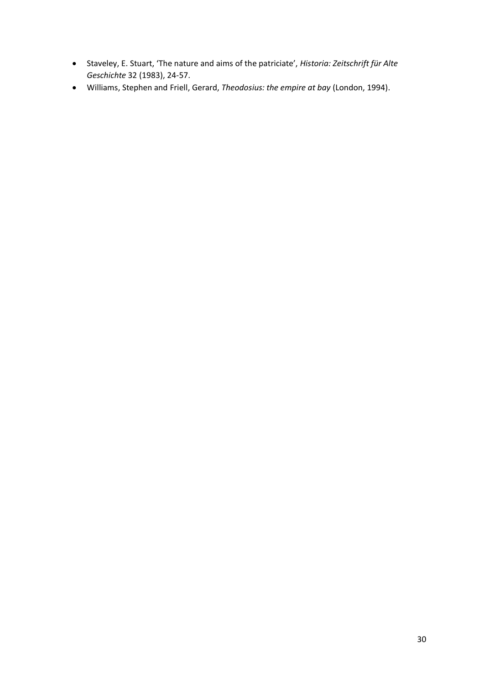- Staveley, E. Stuart, 'The nature and aims of the patriciate', *Historia: Zeitschrift für Alte Geschichte* 32 (1983), 24-57.
- Williams, Stephen and Friell, Gerard, *Theodosius: the empire at bay* (London, 1994).